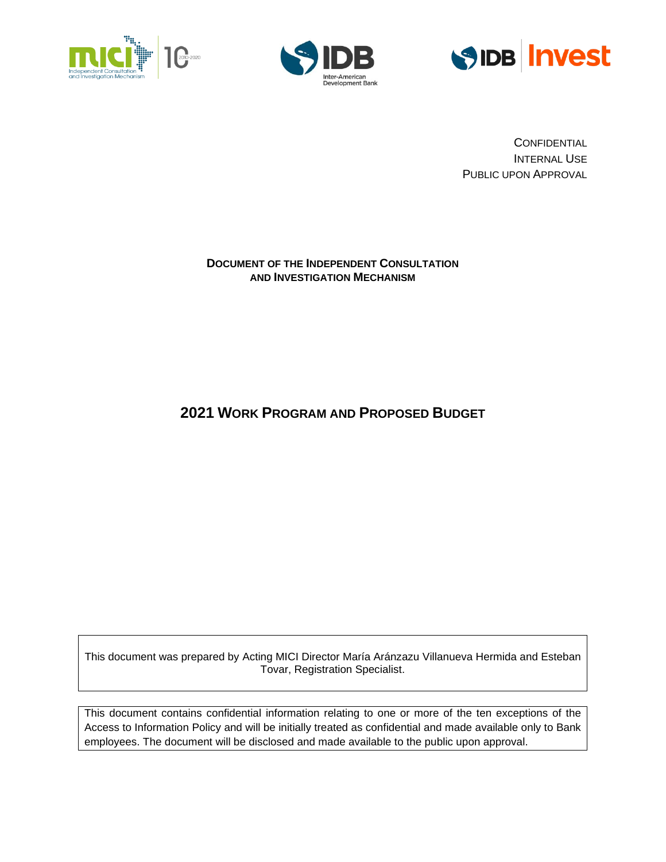





**CONFIDENTIAL** INTERNAL USE PUBLIC UPON APPROVAL

### **DOCUMENT OF THE INDEPENDENT CONSULTATION AND INVESTIGATION MECHANISM**

# **2021 WORK PROGRAM AND PROPOSED BUDGET**

This document was prepared by Acting MICI Director María Aránzazu Villanueva Hermida and Esteban Tovar, Registration Specialist.

This document contains confidential information relating to one or more of the ten exceptions of the Access to Information Policy and will be initially treated as confidential and made available only to Bank employees. The document will be disclosed and made available to the public upon approval.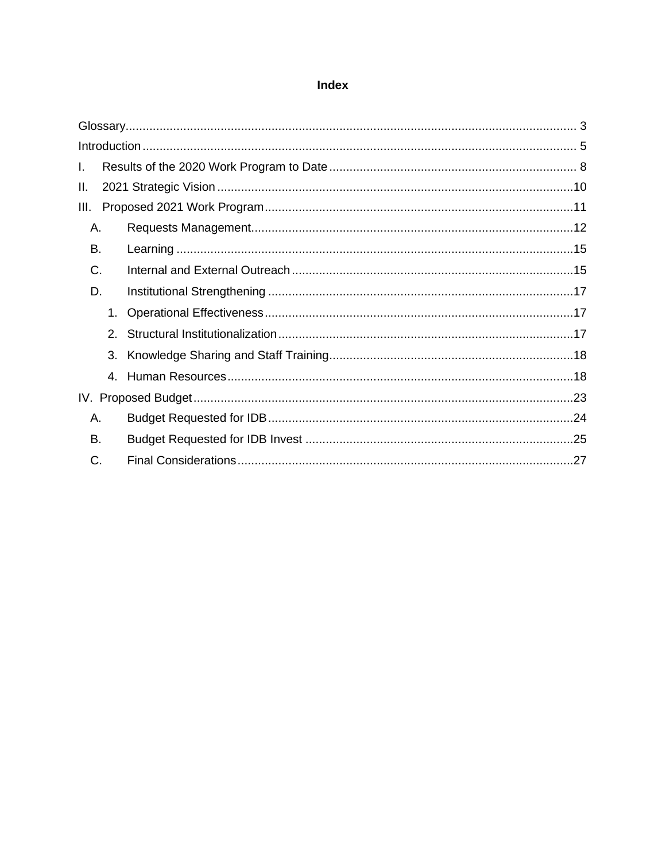### Index

| L.   |                |  |  |  |  |  |  |  |  |  |
|------|----------------|--|--|--|--|--|--|--|--|--|
| Ш.   |                |  |  |  |  |  |  |  |  |  |
| III. |                |  |  |  |  |  |  |  |  |  |
| Α.   |                |  |  |  |  |  |  |  |  |  |
| В.   |                |  |  |  |  |  |  |  |  |  |
| C.   |                |  |  |  |  |  |  |  |  |  |
| D.   |                |  |  |  |  |  |  |  |  |  |
|      | $1_{-}$        |  |  |  |  |  |  |  |  |  |
|      | 2 <sup>1</sup> |  |  |  |  |  |  |  |  |  |
|      | 3.             |  |  |  |  |  |  |  |  |  |
|      | 4.             |  |  |  |  |  |  |  |  |  |
|      |                |  |  |  |  |  |  |  |  |  |
|      | Α.             |  |  |  |  |  |  |  |  |  |
| В.   |                |  |  |  |  |  |  |  |  |  |
| C.   |                |  |  |  |  |  |  |  |  |  |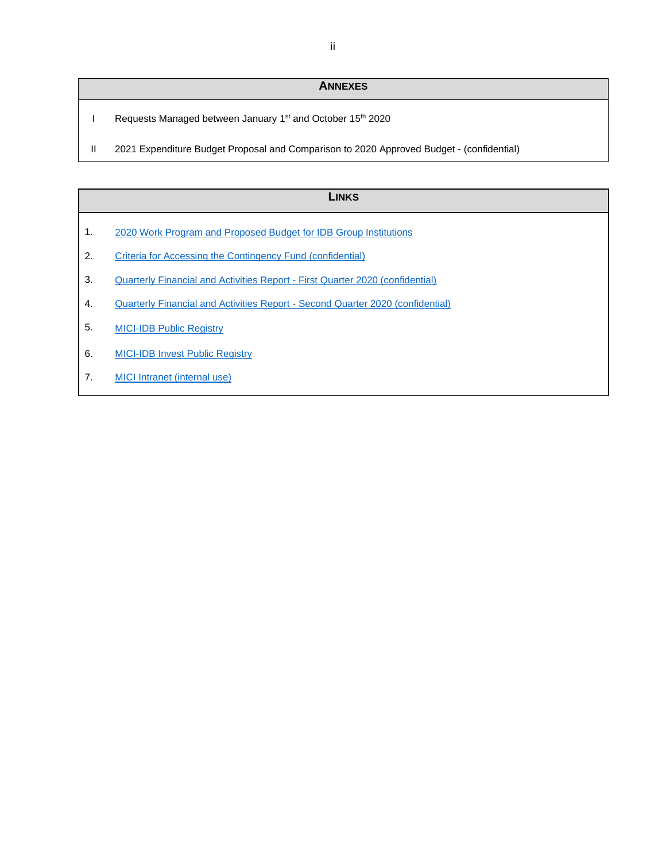# **ANNEXES**

- I Requests Managed between January 1<sup>st</sup> and October 15<sup>th</sup> 2020
- II 2021 Expenditure Budget Proposal and Comparison to 2020 Approved Budget (confidential)

|    | Links                                                                          |  |  |  |  |  |  |
|----|--------------------------------------------------------------------------------|--|--|--|--|--|--|
| 1. | 2020 Work Program and Proposed Budget for IDB Group Institutions               |  |  |  |  |  |  |
| 2. | Criteria for Accessing the Contingency Fund (confidential)                     |  |  |  |  |  |  |
| 3. | Quarterly Financial and Activities Report - First Quarter 2020 (confidential)  |  |  |  |  |  |  |
| 4. | Quarterly Financial and Activities Report - Second Quarter 2020 (confidential) |  |  |  |  |  |  |
| 5. | <b>MICI-IDB Public Registry</b>                                                |  |  |  |  |  |  |

- 6. [MICI-IDB Invest Public Registry](https://www.iadb.org/en/mici/idb-invest-public-registry-chronological)
- 7. [MICI Intranet \(internal use\)](https://idbg.sharepoint.com/sites/mici-es/SitePages/Home.aspx)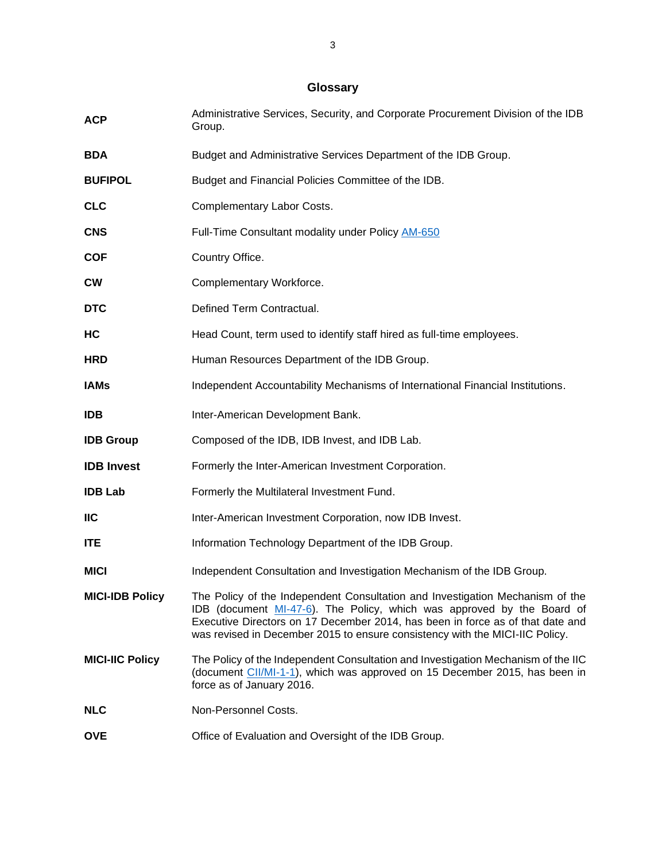# **Glossary**

<span id="page-3-0"></span>

| <b>ACP</b>             | Administrative Services, Security, and Corporate Procurement Division of the IDB<br>Group.                                                                                                                                                                                                                                |
|------------------------|---------------------------------------------------------------------------------------------------------------------------------------------------------------------------------------------------------------------------------------------------------------------------------------------------------------------------|
| <b>BDA</b>             | Budget and Administrative Services Department of the IDB Group.                                                                                                                                                                                                                                                           |
| <b>BUFIPOL</b>         | Budget and Financial Policies Committee of the IDB.                                                                                                                                                                                                                                                                       |
| <b>CLC</b>             | Complementary Labor Costs.                                                                                                                                                                                                                                                                                                |
| <b>CNS</b>             | Full-Time Consultant modality under Policy AM-650                                                                                                                                                                                                                                                                         |
| <b>COF</b>             | Country Office.                                                                                                                                                                                                                                                                                                           |
| <b>CW</b>              | Complementary Workforce.                                                                                                                                                                                                                                                                                                  |
| <b>DTC</b>             | Defined Term Contractual.                                                                                                                                                                                                                                                                                                 |
| HC                     | Head Count, term used to identify staff hired as full-time employees.                                                                                                                                                                                                                                                     |
| <b>HRD</b>             | Human Resources Department of the IDB Group.                                                                                                                                                                                                                                                                              |
| <b>IAMs</b>            | Independent Accountability Mechanisms of International Financial Institutions.                                                                                                                                                                                                                                            |
| <b>IDB</b>             | Inter-American Development Bank.                                                                                                                                                                                                                                                                                          |
| <b>IDB Group</b>       | Composed of the IDB, IDB Invest, and IDB Lab.                                                                                                                                                                                                                                                                             |
| <b>IDB Invest</b>      | Formerly the Inter-American Investment Corporation.                                                                                                                                                                                                                                                                       |
| <b>IDB Lab</b>         | Formerly the Multilateral Investment Fund.                                                                                                                                                                                                                                                                                |
| <b>IIC</b>             | Inter-American Investment Corporation, now IDB Invest.                                                                                                                                                                                                                                                                    |
| <b>ITE</b>             | Information Technology Department of the IDB Group.                                                                                                                                                                                                                                                                       |
| <b>MICI</b>            | Independent Consultation and Investigation Mechanism of the IDB Group.                                                                                                                                                                                                                                                    |
| <b>MICI-IDB Policy</b> | The Policy of the Independent Consultation and Investigation Mechanism of the<br>IDB (document MI-47-6). The Policy, which was approved by the Board of<br>Executive Directors on 17 December 2014, has been in force as of that date and<br>was revised in December 2015 to ensure consistency with the MICI-IIC Policy. |
| <b>MICI-IIC Policy</b> | The Policy of the Independent Consultation and Investigation Mechanism of the IIC<br>(document CII/MI-1-1), which was approved on 15 December 2015, has been in<br>force as of January 2016.                                                                                                                              |
| <b>NLC</b>             | Non-Personnel Costs.                                                                                                                                                                                                                                                                                                      |
| <b>OVE</b>             | Office of Evaluation and Oversight of the IDB Group.                                                                                                                                                                                                                                                                      |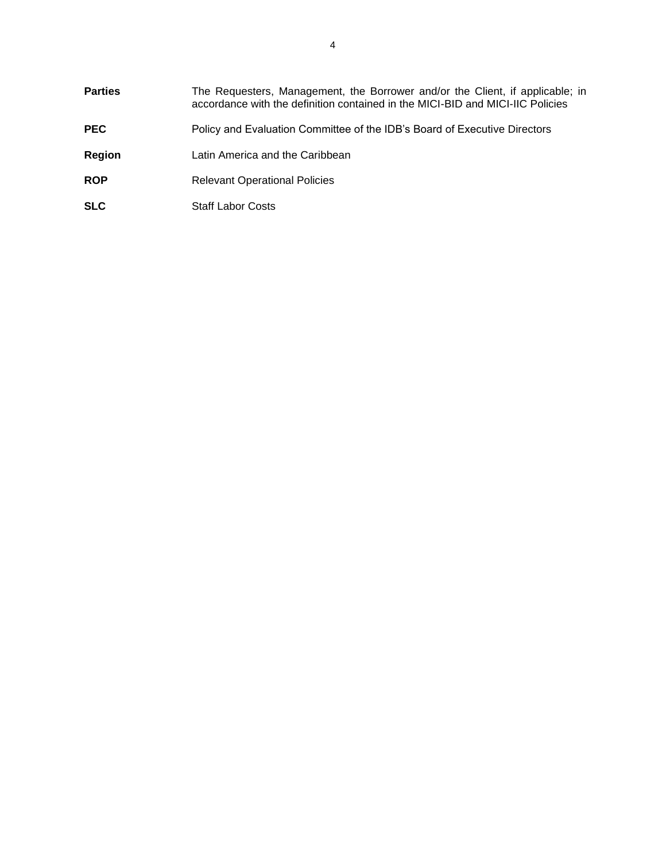| <b>Parties</b> | The Requesters, Management, the Borrower and/or the Client, if applicable; in<br>accordance with the definition contained in the MICI-BID and MICI-IIC Policies |
|----------------|-----------------------------------------------------------------------------------------------------------------------------------------------------------------|
| <b>PEC</b>     | Policy and Evaluation Committee of the IDB's Board of Executive Directors                                                                                       |
| Region         | Latin America and the Caribbean                                                                                                                                 |
| <b>ROP</b>     | <b>Relevant Operational Policies</b>                                                                                                                            |
| <b>SLC</b>     | <b>Staff Labor Costs</b>                                                                                                                                        |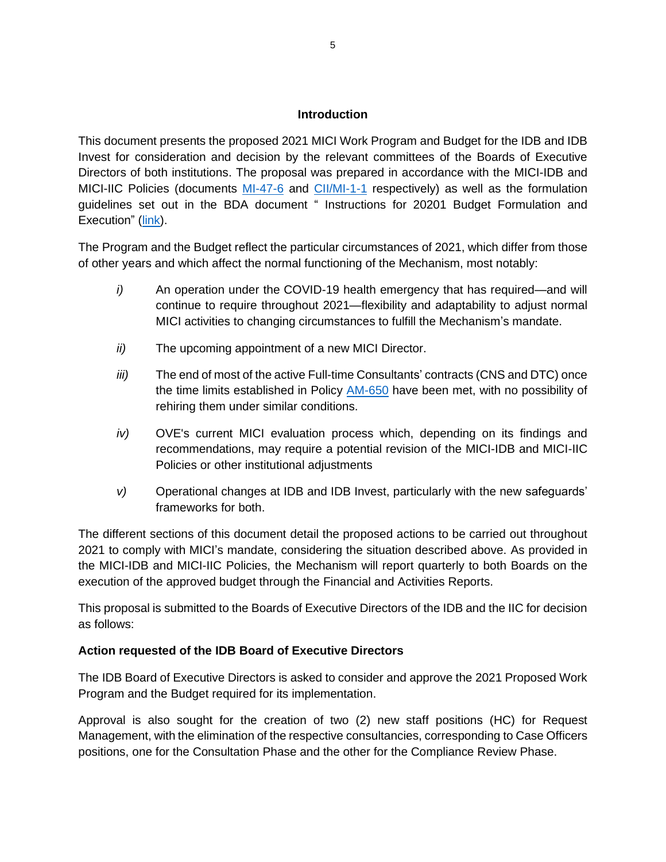#### **Introduction**

<span id="page-5-0"></span>This document presents the proposed 2021 MICI Work Program and Budget for the IDB and IDB Invest for consideration and decision by the relevant committees of the Boards of Executive Directors of both institutions. The proposal was prepared in accordance with the MICI-IDB and MICI-IIC Policies (documents [MI-47-6](http://idbdocs.iadb.org/wsdocs/getdocument.aspx?docnum=40792853) and [CII/MI-1-1](http://idbdocs.iadb.org/wsdocs/getdocument.aspx?docnum=40151002) respectively) as well as the formulation guidelines set out in the BDA document " Instructions for 20201 Budget Formulation and Execution" [\(link\)](https://idbg.sharepoint.com/teams/ez-BGT/Administrative/Preparation/Budget%20Instructions/2021.Instructions.Document.NEW%20FORMAT.FINAL.pdf).

The Program and the Budget reflect the particular circumstances of 2021, which differ from those of other years and which affect the normal functioning of the Mechanism, most notably:

- *i*) An operation under the COVID-19 health emergency that has required—and will continue to require throughout 2021—flexibility and adaptability to adjust normal MICI activities to changing circumstances to fulfill the Mechanism's mandate.
- *ii)* The upcoming appointment of a new MICI Director.
- *iii)* The end of most of the active Full-time Consultants' contracts (CNS and DTC) once the time limits established in Policy [AM-650](https://idbg.sharepoint.com/teams/ez-LEG/Regulations/Current%20Regulations/ENG/AM-650%20%20Complementary%20Workforce.pdf) have been met, with no possibility of rehiring them under similar conditions.
- *iv)* OVE's current MICI evaluation process which, depending on its findings and recommendations, may require a potential revision of the MICI-IDB and MICI-IIC Policies or other institutional adjustments
- *v)* Operational changes at IDB and IDB Invest, particularly with the new safeguards' frameworks for both.

The different sections of this document detail the proposed actions to be carried out throughout 2021 to comply with MICI's mandate, considering the situation described above. As provided in the MICI-IDB and MICI-IIC Policies, the Mechanism will report quarterly to both Boards on the execution of the approved budget through the Financial and Activities Reports.

This proposal is submitted to the Boards of Executive Directors of the IDB and the IIC for decision as follows:

### **Action requested of the IDB Board of Executive Directors**

The IDB Board of Executive Directors is asked to consider and approve the 2021 Proposed Work Program and the Budget required for its implementation.

Approval is also sought for the creation of two (2) new staff positions (HC) for Request Management, with the elimination of the respective consultancies, corresponding to Case Officers positions, one for the Consultation Phase and the other for the Compliance Review Phase.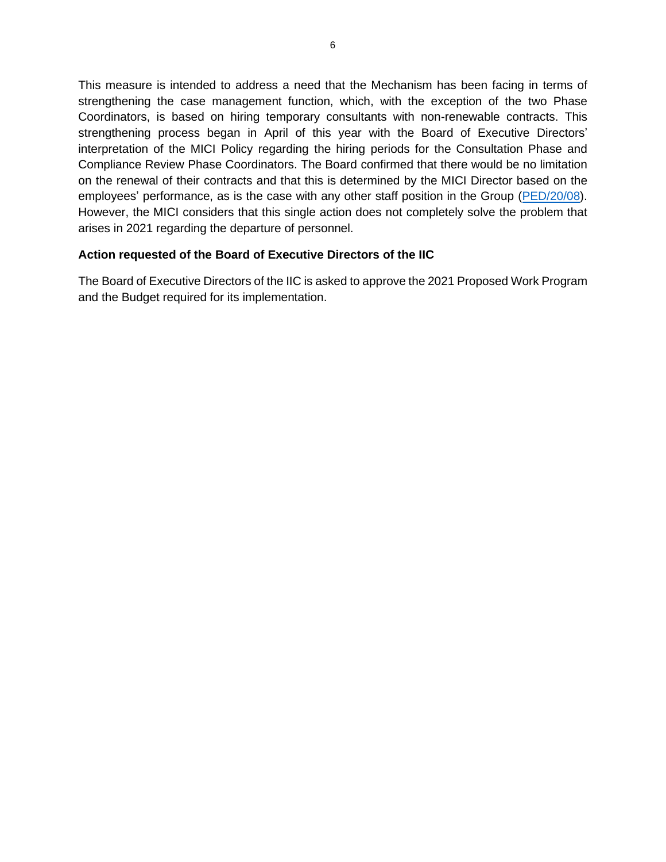This measure is intended to address a need that the Mechanism has been facing in terms of strengthening the case management function, which, with the exception of the two Phase Coordinators, is based on hiring temporary consultants with non-renewable contracts. This strengthening process began in April of this year with the Board of Executive Directors' interpretation of the MICI Policy regarding the hiring periods for the Consultation Phase and Compliance Review Phase Coordinators. The Board confirmed that there would be no limitation on the renewal of their contracts and that this is determined by the MICI Director based on the employees' performance, as is the case with any other staff position in the Group [\(PED/20/08\)](https://idbg.sharepoint.com/:w:/r/teams/ez-COM/Policy%20and%20Evaluation%20Committee/_layouts/15/Doc.aspx?sourcedoc=%7BFBCD5AEB-6D58-4319-AFD5-6A42344C7A6C%7D&file=Summary%20of%20deliberations%20and%20Minutes%20of%20the%20Meeting%202020-08%20Policy%20and%20Evaluation%20Committee.doc&action=default&mobileredirect=true). However, the MICI considers that this single action does not completely solve the problem that arises in 2021 regarding the departure of personnel.

### **Action requested of the Board of Executive Directors of the IIC**

The Board of Executive Directors of the IIC is asked to approve the 2021 Proposed Work Program and the Budget required for its implementation.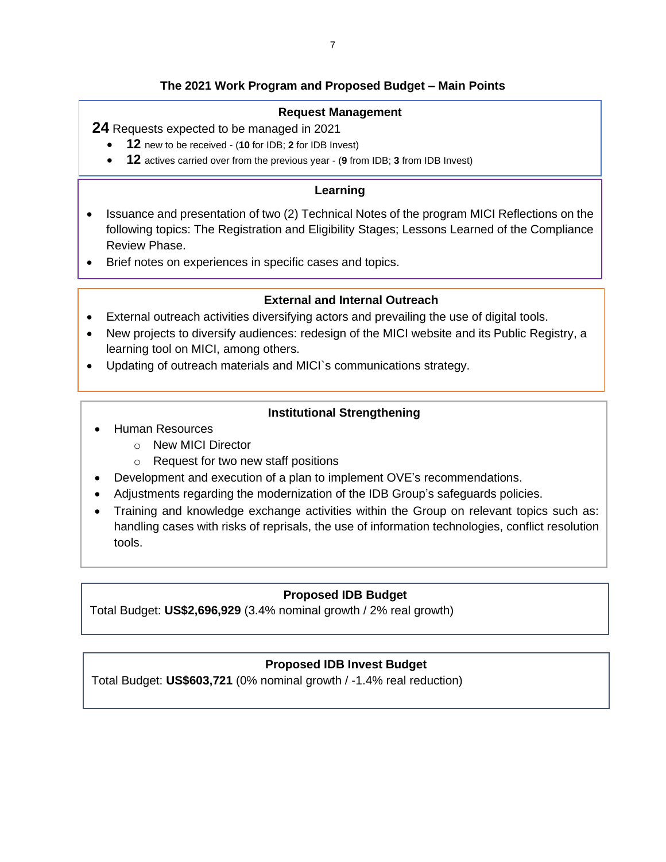## **The 2021 Work Program and Proposed Budget – Main Points**

### **Request Management**

**24** Requests expected to be managed in 2021

- **12** new to be received (**10** for IDB; **2** for IDB Invest)
- **12** actives carried over from the previous year (**9** from IDB; **3** from IDB Invest)

### **Learning**

- Issuance and presentation of two (2) Technical Notes of the program MICI Reflections on the following topics: The Registration and Eligibility Stages; Lessons Learned of the Compliance Review Phase.
- Brief notes on experiences in specific cases and topics.

### **External and Internal Outreach**

- External outreach activities diversifying actors and prevailing the use of digital tools.
- New projects to diversify audiences: redesign of the MICI website and its Public Registry, a learning tool on MICI, among others.
- Updating of outreach materials and MICI`s communications strategy.

### **Institutional Strengthening**

- Human Resources
	- o New MICI Director
	- o Request for two new staff positions
- Development and execution of a plan to implement OVE's recommendations.
- Adjustments regarding the modernization of the IDB Group's safeguards policies.
- Training and knowledge exchange activities within the Group on relevant topics such as: handling cases with risks of reprisals, the use of information technologies, conflict resolution tools.

### **Proposed IDB Budget**

Total Budget: **US\$2,696,929** (3.4% nominal growth / 2% real growth)

### **Proposed IDB Invest Budget**

Total Budget: **US\$603,721** (0% nominal growth / -1.4% real reduction)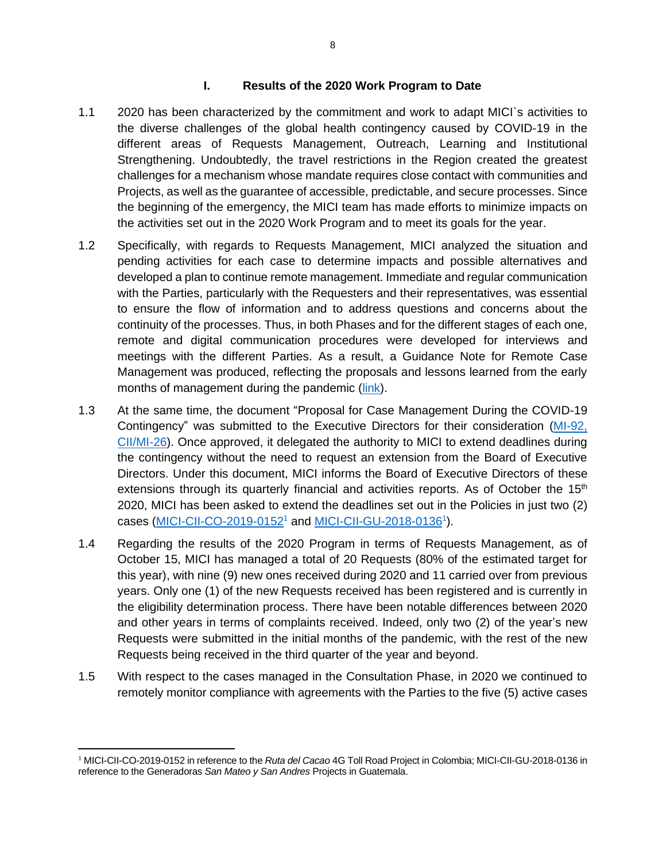#### **I. Results of the 2020 Work Program to Date**

- <span id="page-8-0"></span>1.1 2020 has been characterized by the commitment and work to adapt MICI`s activities to the diverse challenges of the global health contingency caused by COVID-19 in the different areas of Requests Management, Outreach, Learning and Institutional Strengthening. Undoubtedly, the travel restrictions in the Region created the greatest challenges for a mechanism whose mandate requires close contact with communities and Projects, as well as the guarantee of accessible, predictable, and secure processes. Since the beginning of the emergency, the MICI team has made efforts to minimize impacts on the activities set out in the 2020 Work Program and to meet its goals for the year.
- 1.2 Specifically, with regards to Requests Management, MICI analyzed the situation and pending activities for each case to determine impacts and possible alternatives and developed a plan to continue remote management. Immediate and regular communication with the Parties, particularly with the Requesters and their representatives, was essential to ensure the flow of information and to address questions and concerns about the continuity of the processes. Thus, in both Phases and for the different stages of each one, remote and digital communication procedures were developed for interviews and meetings with the different Parties. As a result, a Guidance Note for Remote Case Management was produced, reflecting the proposals and lessons learned from the early months of management during the pandemic [\(link\)](http://www.iadb.org/document.cfm?id=EZSHARE-525549286-343).
- 1.3 At the same time, the document "Proposal for Case Management During the COVID-19 Contingency" was submitted to the Executive Directors for their consideration [\(MI-92,](http://idbdocs.iadb.org/wsdocs/getdocument.aspx?docnum=EZSHARE-458673191-313)  [CII/MI-26\)](http://idbdocs.iadb.org/wsdocs/getdocument.aspx?docnum=EZSHARE-458673191-313). Once approved, it delegated the authority to MICI to extend deadlines during the contingency without the need to request an extension from the Board of Executive Directors. Under this document, MICI informs the Board of Executive Directors of these extensions through its quarterly financial and activities reports. As of October the  $15<sup>th</sup>$ 2020, MICI has been asked to extend the deadlines set out in the Policies in just two (2) cases [\(MICI-CII-CO-2019-0152](https://www.iadb.org/en/mici/request-detail-iic?ID=MICI-CII-CO-2019-0152&nid=27243)<sup>1</sup> and [MICI-CII-GU-2018-0136](https://www.iadb.org/en/mici/request-detail-iic?ID=MICI-CII-GU-2018-0136&nid=23508)<sup>1</sup>).
- 1.4 Regarding the results of the 2020 Program in terms of Requests Management, as of October 15, MICI has managed a total of 20 Requests (80% of the estimated target for this year), with nine (9) new ones received during 2020 and 11 carried over from previous years. Only one (1) of the new Requests received has been registered and is currently in the eligibility determination process. There have been notable differences between 2020 and other years in terms of complaints received. Indeed, only two (2) of the year's new Requests were submitted in the initial months of the pandemic, with the rest of the new Requests being received in the third quarter of the year and beyond.
- 1.5 With respect to the cases managed in the Consultation Phase, in 2020 we continued to remotely monitor compliance with agreements with the Parties to the five (5) active cases

<sup>1</sup> MICI-CII-CO-2019-0152 in reference to the *Ruta del Cacao* 4G Toll Road Project in Colombia; MICI-CII-GU-2018-0136 in reference to the Generadoras *San Mateo y San Andres* Projects in Guatemala.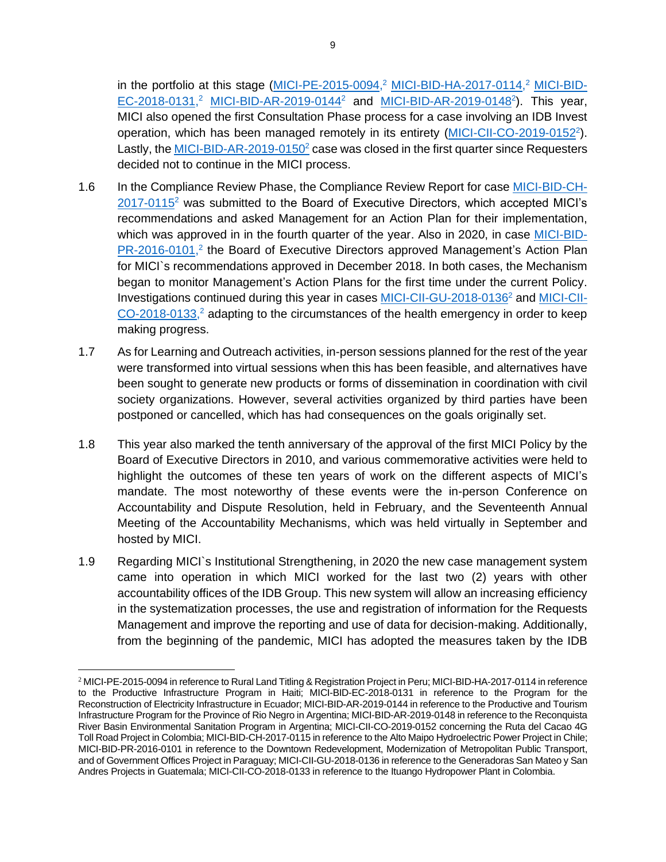in the portfolio at this stage [\(MICI-PE-2015-0094,](https://www.iadb.org/en/mici/complaint-detail?id=MICI-PE-2015-0094)<sup>2</sup> [MICI-BID-HA-2017-0114,](https://www.iadb.org/en/mici/complaint-detail?id=MICI-BID-HA-2017-0114)<sup>2</sup> [MICI-BID-](https://www.iadb.org/en/mici/complaint-detail?ID=MICI-BID-EC-2018-0131)[EC-2018-0131,](https://www.iadb.org/en/mici/complaint-detail?ID=MICI-BID-EC-2018-0131)<sup>2</sup> [MICI-BID-AR-2019-0144](https://www.iadb.org/en/mici/complaint-detail?ID=MICI-BID-AR-2019-0144)<sup>2</sup> and [MICI-BID-AR-2019-0148](https://www.iadb.org/en/mici/complaint-detail?ID=MICI-BID-AR-2019-0148)<sup>2</sup>). This year, MICI also opened the first Consultation Phase process for a case involving an IDB Invest operation, which has been managed remotely in its entirety [\(MICI-CII-CO-2019-0152](https://www.iadb.org/en/mici/request-detail-iic?ID=MICI-CII-CO-2019-0152&nid=27243)<sup>2</sup>). Lastly, the [MICI-BID-AR-2019-0150](https://www.iadb.org/en/mici/complaint-detail?ID=MICI-BID-AR-2019-0150) $^2$  case was closed in the first quarter since Requesters decided not to continue in the MICI process.

- 1.6 In the Compliance Review Phase, the Compliance Review Report for case [MICI-BID-CH-](https://www.iadb.org/en/mici/complaint-detail?id=MICI-BID-CH-2017-0115) $2017-0115<sup>2</sup>$  $2017-0115<sup>2</sup>$  was submitted to the Board of Executive Directors, which accepted MICI's recommendations and asked Management for an Action Plan for their implementation, which was approved in in the fourth quarter of the year. Also in 2020, in case [MICI-BID-](https://www.iadb.org/en/mici/complaint-detail?id=MICI-BID-PR-2016-0101)[PR-2016-0101,](https://www.iadb.org/en/mici/complaint-detail?id=MICI-BID-PR-2016-0101)<sup>2</sup> the Board of Executive Directors approved Management's Action Plan for MICI`s recommendations approved in December 2018. In both cases, the Mechanism began to monitor Management's Action Plans for the first time under the current Policy. Investigations continued during this year in cases [MICI-CII-GU-2018-0136](https://www.iadb.org/en/mici/request-detail-iic?ID=MICI-CII-GU-2018-0136&nid=23508)<sup>2</sup> and [MICI-CII-](https://www.iadb.org/en/mici/request-detail-iic?ID=MICI-CII-CO-2018-0133&nid=23506) $CO-2018-0133$ ,<sup>2</sup> adapting to the circumstances of the health emergency in order to keep making progress.
- 1.7 As for Learning and Outreach activities, in-person sessions planned for the rest of the year were transformed into virtual sessions when this has been feasible, and alternatives have been sought to generate new products or forms of dissemination in coordination with civil society organizations. However, several activities organized by third parties have been postponed or cancelled, which has had consequences on the goals originally set.
- 1.8 This year also marked the tenth anniversary of the approval of the first MICI Policy by the Board of Executive Directors in 2010, and various commemorative activities were held to highlight the outcomes of these ten years of work on the different aspects of MICI's mandate. The most noteworthy of these events were the in-person Conference on Accountability and Dispute Resolution, held in February, and the Seventeenth Annual Meeting of the Accountability Mechanisms, which was held virtually in September and hosted by MICI.
- 1.9 Regarding MICI`s Institutional Strengthening, in 2020 the new case management system came into operation in which MICI worked for the last two (2) years with other accountability offices of the IDB Group. This new system will allow an increasing efficiency in the systematization processes, the use and registration of information for the Requests Management and improve the reporting and use of data for decision-making. Additionally, from the beginning of the pandemic, MICI has adopted the measures taken by the IDB

<sup>2</sup> MICI-PE-2015-0094 in reference to Rural Land Titling & Registration Project in Peru; MICI-BID-HA-2017-0114 in reference to the Productive Infrastructure Program in Haiti; MICI-BID-EC-2018-0131 in reference to the Program for the Reconstruction of Electricity Infrastructure in Ecuador; MICI-BID-AR-2019-0144 in reference to the Productive and Tourism Infrastructure Program for the Province of Rio Negro in Argentina; MICI-BID-AR-2019-0148 in reference to the Reconquista River Basin Environmental Sanitation Program in Argentina; MICI-CII-CO-2019-0152 concerning the Ruta del Cacao 4G Toll Road Project in Colombia; MICI-BID-CH-2017-0115 in reference to the Alto Maipo Hydroelectric Power Project in Chile; MICI-BID-PR-2016-0101 in reference to the Downtown Redevelopment, Modernization of Metropolitan Public Transport, and of Government Offices Project in Paraguay; MICI-CII-GU-2018-0136 in reference to the Generadoras San Mateo y San Andres Projects in Guatemala; MICI-CII-CO-2018-0133 in reference to the Ituango Hydropower Plant in Colombia.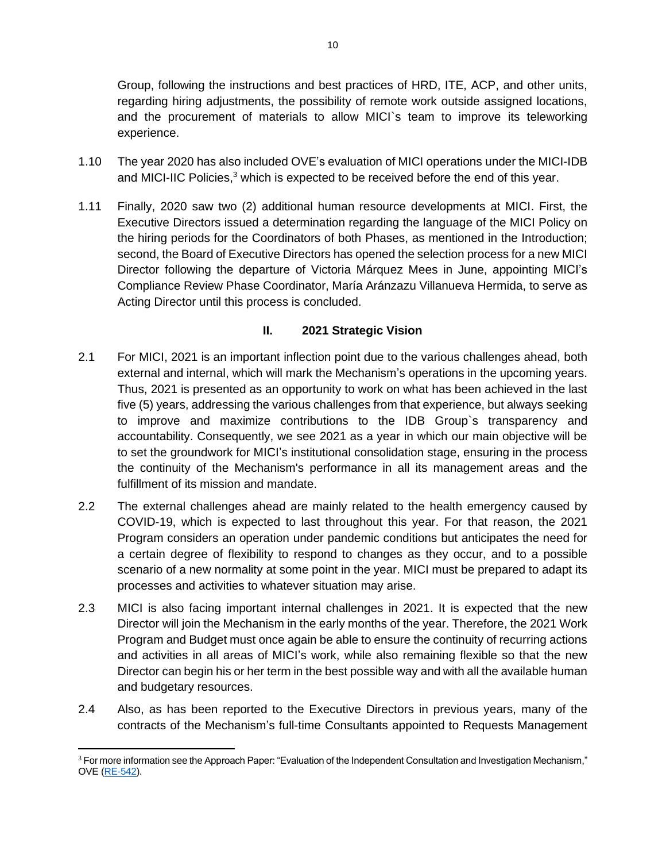Group, following the instructions and best practices of HRD, ITE, ACP, and other units, regarding hiring adjustments, the possibility of remote work outside assigned locations, and the procurement of materials to allow MICI`s team to improve its teleworking experience.

- 1.10 The year 2020 has also included OVE's evaluation of MICI operations under the MICI-IDB and MICI-IIC Policies,<sup>3</sup> which is expected to be received before the end of this year.
- 1.11 Finally, 2020 saw two (2) additional human resource developments at MICI. First, the Executive Directors issued a determination regarding the language of the MICI Policy on the hiring periods for the Coordinators of both Phases, as mentioned in the Introduction; second, the Board of Executive Directors has opened the selection process for a new MICI Director following the departure of Victoria Márquez Mees in June, appointing MICI's Compliance Review Phase Coordinator, María Aránzazu Villanueva Hermida, to serve as Acting Director until this process is concluded.

# **II. 2021 Strategic Vision**

- <span id="page-10-0"></span>2.1 For MICI, 2021 is an important inflection point due to the various challenges ahead, both external and internal, which will mark the Mechanism's operations in the upcoming years. Thus, 2021 is presented as an opportunity to work on what has been achieved in the last five (5) years, addressing the various challenges from that experience, but always seeking to improve and maximize contributions to the IDB Group`s transparency and accountability. Consequently, we see 2021 as a year in which our main objective will be to set the groundwork for MICI's institutional consolidation stage, ensuring in the process the continuity of the Mechanism's performance in all its management areas and the fulfillment of its mission and mandate.
- 2.2 The external challenges ahead are mainly related to the health emergency caused by COVID-19, which is expected to last throughout this year. For that reason, the 2021 Program considers an operation under pandemic conditions but anticipates the need for a certain degree of flexibility to respond to changes as they occur, and to a possible scenario of a new normality at some point in the year. MICI must be prepared to adapt its processes and activities to whatever situation may arise.
- 2.3 MICI is also facing important internal challenges in 2021. It is expected that the new Director will join the Mechanism in the early months of the year. Therefore, the 2021 Work Program and Budget must once again be able to ensure the continuity of recurring actions and activities in all areas of MICI's work, while also remaining flexible so that the new Director can begin his or her term in the best possible way and with all the available human and budgetary resources.
- 2.4 Also, as has been reported to the Executive Directors in previous years, many of the contracts of the Mechanism's full-time Consultants appointed to Requests Management

<sup>&</sup>lt;sup>3</sup> For more information see the Approach Paper: "Evaluation of the Independent Consultation and Investigation Mechanism," OVE [\(RE-542\)](http://idbdocs.iadb.org/wsdocs/getdocument.aspx?docnum=EZSHARE-189869251-1656).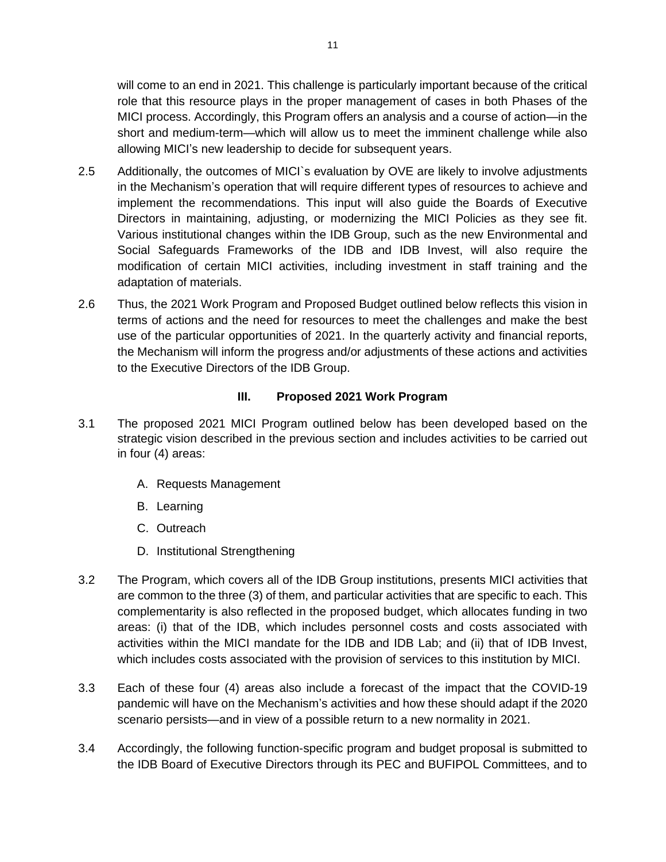will come to an end in 2021. This challenge is particularly important because of the critical role that this resource plays in the proper management of cases in both Phases of the MICI process. Accordingly, this Program offers an analysis and a course of action—in the short and medium-term—which will allow us to meet the imminent challenge while also allowing MICI's new leadership to decide for subsequent years.

- 2.5 Additionally, the outcomes of MICI`s evaluation by OVE are likely to involve adjustments in the Mechanism's operation that will require different types of resources to achieve and implement the recommendations. This input will also guide the Boards of Executive Directors in maintaining, adjusting, or modernizing the MICI Policies as they see fit. Various institutional changes within the IDB Group, such as the new Environmental and Social Safeguards Frameworks of the IDB and IDB Invest, will also require the modification of certain MICI activities, including investment in staff training and the adaptation of materials.
- 2.6 Thus, the 2021 Work Program and Proposed Budget outlined below reflects this vision in terms of actions and the need for resources to meet the challenges and make the best use of the particular opportunities of 2021. In the quarterly activity and financial reports, the Mechanism will inform the progress and/or adjustments of these actions and activities to the Executive Directors of the IDB Group.

### **III. Proposed 2021 Work Program**

- <span id="page-11-0"></span>3.1 The proposed 2021 MICI Program outlined below has been developed based on the strategic vision described in the previous section and includes activities to be carried out in four (4) areas:
	- A. Requests Management
	- B. Learning
	- C. Outreach
	- D. Institutional Strengthening
- 3.2 The Program, which covers all of the IDB Group institutions, presents MICI activities that are common to the three (3) of them, and particular activities that are specific to each. This complementarity is also reflected in the proposed budget, which allocates funding in two areas: (i) that of the IDB, which includes personnel costs and costs associated with activities within the MICI mandate for the IDB and IDB Lab; and (ii) that of IDB Invest, which includes costs associated with the provision of services to this institution by MICI.
- 3.3 Each of these four (4) areas also include a forecast of the impact that the COVID-19 pandemic will have on the Mechanism's activities and how these should adapt if the 2020 scenario persists—and in view of a possible return to a new normality in 2021.
- 3.4 Accordingly, the following function-specific program and budget proposal is submitted to the IDB Board of Executive Directors through its PEC and BUFIPOL Committees, and to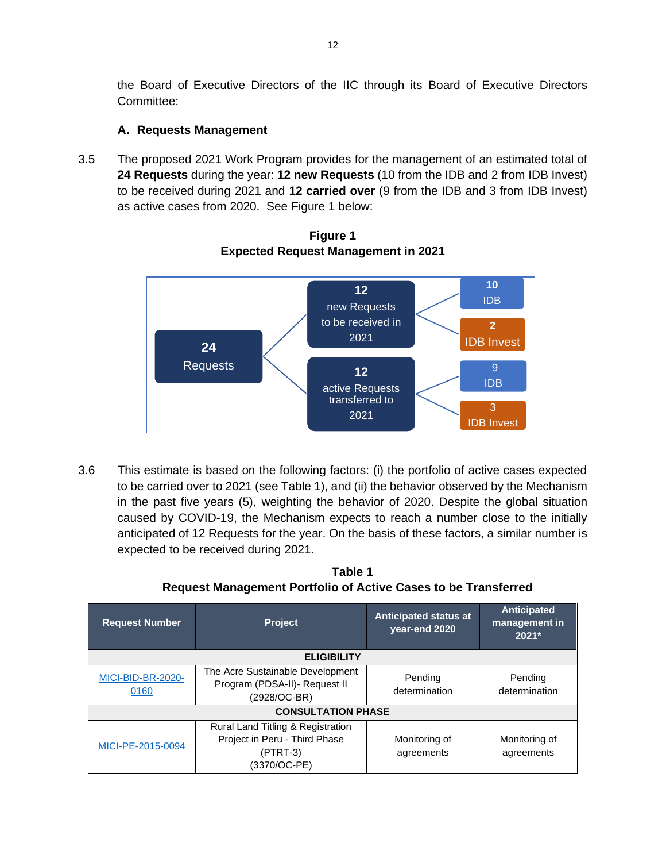the Board of Executive Directors of the IIC through its Board of Executive Directors Committee:

# **A. Requests Management**

<span id="page-12-0"></span>3.5 The proposed 2021 Work Program provides for the management of an estimated total of **24 Requests** during the year: **12 new Requests** (10 from the IDB and 2 from IDB Invest) to be received during 2021 and **12 carried over** (9 from the IDB and 3 from IDB Invest) as active cases from 2020. See Figure 1 below:



**Figure 1 Expected Request Management in 2021**

3.6 This estimate is based on the following factors: (i) the portfolio of active cases expected to be carried over to 2021 (see Table 1), and (ii) the behavior observed by the Mechanism in the past five years (5), weighting the behavior of 2020. Despite the global situation caused by COVID-19, the Mechanism expects to reach a number close to the initially anticipated of 12 Requests for the year. On the basis of these factors, a similar number is expected to be received during 2021.

**Table 1 Request Management Portfolio of Active Cases to be Transferred**

| <b>Request Number</b>     | <b>Project</b>                                                                                   | <b>Anticipated status at</b><br>vear-end 2020 | <b>Anticipated</b><br>management in<br>$2021*$ |  |  |  |  |  |  |
|---------------------------|--------------------------------------------------------------------------------------------------|-----------------------------------------------|------------------------------------------------|--|--|--|--|--|--|
|                           | <b>ELIGIBILITY</b>                                                                               |                                               |                                                |  |  |  |  |  |  |
| MICI-BID-BR-2020-<br>0160 | The Acre Sustainable Development<br>Program (PDSA-II)- Request II<br>(2928/OC-BR)                | Pending<br>determination                      | Pending<br>determination                       |  |  |  |  |  |  |
| <b>CONSULTATION PHASE</b> |                                                                                                  |                                               |                                                |  |  |  |  |  |  |
| MICI-PE-2015-0094         | Rural Land Titling & Registration<br>Project in Peru - Third Phase<br>$(PTRT-3)$<br>(3370/OC-PE) | Monitoring of<br>agreements                   | Monitoring of<br>agreements                    |  |  |  |  |  |  |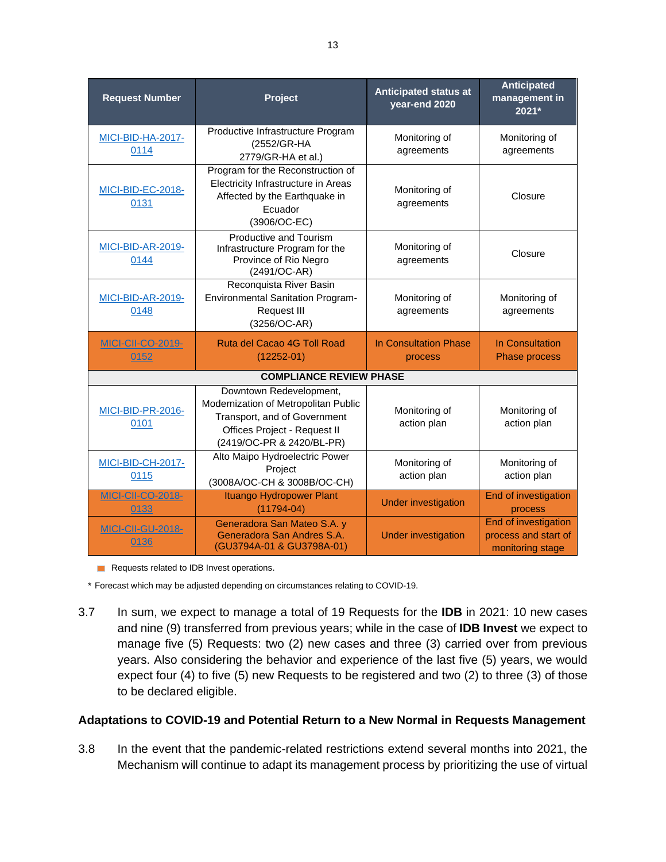| <b>Request Number</b>                                                                                                      | Project                                                                                                                                                                                                                                                                                                                                                                                                                        | <b>Anticipated status at</b><br>year-end 2020 | <b>Anticipated</b><br>management in<br>2021*                     |
|----------------------------------------------------------------------------------------------------------------------------|--------------------------------------------------------------------------------------------------------------------------------------------------------------------------------------------------------------------------------------------------------------------------------------------------------------------------------------------------------------------------------------------------------------------------------|-----------------------------------------------|------------------------------------------------------------------|
| <b>MICI-BID-HA-2017-</b><br>0114                                                                                           | Productive Infrastructure Program<br>(2552/GR-HA<br>2779/GR-HA et al.)                                                                                                                                                                                                                                                                                                                                                         | Monitoring of<br>agreements                   | Monitoring of<br>agreements                                      |
| MICI-BID-EC-2018-<br>0131                                                                                                  | Program for the Reconstruction of<br>Electricity Infrastructure in Areas<br>Affected by the Earthquake in<br>Ecuador<br>(3906/OC-EC)<br>Productive and Tourism<br><b>MICI-BID-AR-2019-</b><br>Infrastructure Program for the<br>Province of Rio Negro<br>0144<br>(2491/OC-AR)<br>Reconquista River Basin<br><b>Environmental Sanitation Program-</b><br><b>MICI-BID-AR-2019-</b><br><b>Request III</b><br>0148<br>(3256/OC-AR) |                                               | Closure                                                          |
|                                                                                                                            |                                                                                                                                                                                                                                                                                                                                                                                                                                |                                               | Closure                                                          |
|                                                                                                                            |                                                                                                                                                                                                                                                                                                                                                                                                                                |                                               | Monitoring of<br>agreements                                      |
| <b>MICI-CII-CO-2019-</b><br>0152                                                                                           | Ruta del Cacao 4G Toll Road<br>$(12252 - 01)$                                                                                                                                                                                                                                                                                                                                                                                  | In Consultation Phase<br>process              | In Consultation<br><b>Phase process</b>                          |
|                                                                                                                            | <b>COMPLIANCE REVIEW PHASE</b>                                                                                                                                                                                                                                                                                                                                                                                                 |                                               |                                                                  |
| MICI-BID-PR-2016-<br>0101                                                                                                  | Downtown Redevelopment,<br>Modernization of Metropolitan Public<br>Transport, and of Government<br>Offices Project - Request II<br>(2419/OC-PR & 2420/BL-PR)                                                                                                                                                                                                                                                                   | Monitoring of<br>action plan                  | Monitoring of<br>action plan                                     |
| MICI-BID-CH-2017-<br>0115                                                                                                  | Alto Maipo Hydroelectric Power<br>Project<br>(3008A/OC-CH & 3008B/OC-CH)                                                                                                                                                                                                                                                                                                                                                       |                                               | Monitoring of<br>action plan                                     |
| <b>MICI-CII-CO-2018-</b><br>0133                                                                                           | Ituango Hydropower Plant<br>$(11794 - 04)$                                                                                                                                                                                                                                                                                                                                                                                     | <b>Under investigation</b>                    | End of investigation<br>process                                  |
| Generadora San Mateo S.A. y<br><b>MICI-CII-GU-2018-</b><br>Generadora San Andres S.A.<br>0136<br>(GU3794A-01 & GU3798A-01) |                                                                                                                                                                                                                                                                                                                                                                                                                                | <b>Under investigation</b>                    | End of investigation<br>process and start of<br>monitoring stage |

Requests related to IDB Invest operations.

\* Forecast which may be adjusted depending on circumstances relating to COVID-19.

3.7 In sum, we expect to manage a total of 19 Requests for the **IDB** in 2021: 10 new cases and nine (9) transferred from previous years; while in the case of **IDB Invest** we expect to manage five (5) Requests: two (2) new cases and three (3) carried over from previous years. Also considering the behavior and experience of the last five (5) years, we would expect four (4) to five (5) new Requests to be registered and two (2) to three (3) of those to be declared eligible.

### **Adaptations to COVID-19 and Potential Return to a New Normal in Requests Management**

3.8 In the event that the pandemic-related restrictions extend several months into 2021, the Mechanism will continue to adapt its management process by prioritizing the use of virtual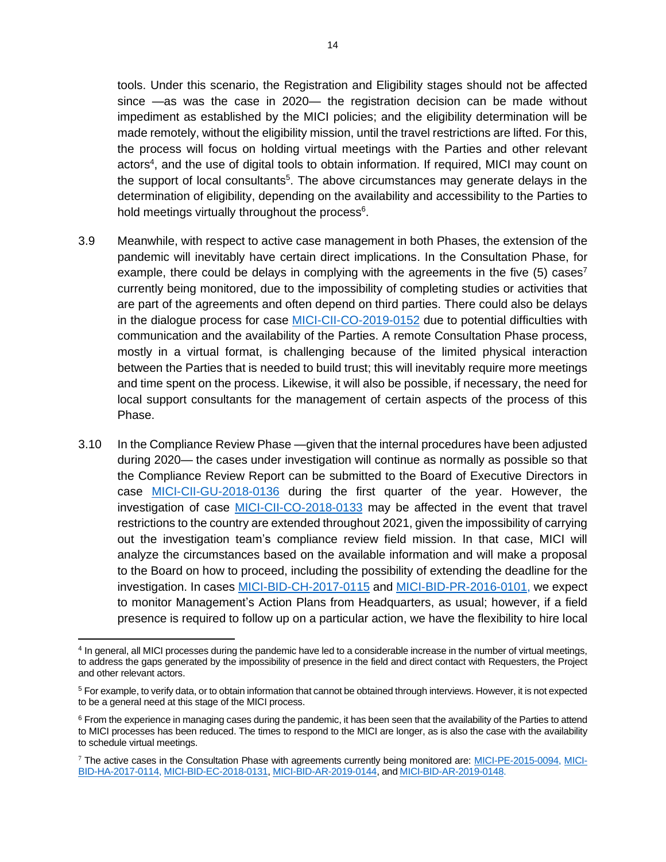tools. Under this scenario, the Registration and Eligibility stages should not be affected since —as was the case in 2020— the registration decision can be made without impediment as established by the MICI policies; and the eligibility determination will be made remotely, without the eligibility mission, until the travel restrictions are lifted. For this, the process will focus on holding virtual meetings with the Parties and other relevant actors<sup>4</sup>, and the use of digital tools to obtain information. If required, MICI may count on the support of local consultants<sup>5</sup>. The above circumstances may generate delays in the determination of eligibility, depending on the availability and accessibility to the Parties to hold meetings virtually throughout the process<sup>6</sup>.

- 3.9 Meanwhile, with respect to active case management in both Phases, the extension of the pandemic will inevitably have certain direct implications. In the Consultation Phase, for example, there could be delays in complying with the agreements in the five  $(5)$  cases<sup>7</sup> currently being monitored, due to the impossibility of completing studies or activities that are part of the agreements and often depend on third parties. There could also be delays in the dialogue process for case [MICI-CII-CO-2019-0152](https://www.iadb.org/en/mici/request-detail-iic?ID=MICI-CII-CO-2019-0152&nid=27243) due to potential difficulties with communication and the availability of the Parties. A remote Consultation Phase process, mostly in a virtual format, is challenging because of the limited physical interaction between the Parties that is needed to build trust; this will inevitably require more meetings and time spent on the process. Likewise, it will also be possible, if necessary, the need for local support consultants for the management of certain aspects of the process of this Phase.
- 3.10 In the Compliance Review Phase —given that the internal procedures have been adjusted during 2020— the cases under investigation will continue as normally as possible so that the Compliance Review Report can be submitted to the Board of Executive Directors in case [MICI-CII-GU-2018-0136](https://www.iadb.org/en/mici/request-detail-iic?ID=MICI-CII-GU-2018-0136&nid=23508) during the first quarter of the year. However, the investigation of case [MICI-CII-CO-2018-0133](https://www.iadb.org/en/mici/request-detail-iic?ID=MICI-CII-CO-2018-0133&nid=23506) may be affected in the event that travel restrictions to the country are extended throughout 2021, given the impossibility of carrying out the investigation team's compliance review field mission. In that case, MICI will analyze the circumstances based on the available information and will make a proposal to the Board on how to proceed, including the possibility of extending the deadline for the investigation. In cases [MICI-BID-CH-2017-0115](https://www.iadb.org/en/mici/complaint-detail?id=MICI-BID-CH-2017-0115) and [MICI-BID-PR-2016-0101,](https://www.iadb.org/en/mici/complaint-detail?id=MICI-BID-PR-2016-0101) we expect to monitor Management's Action Plans from Headquarters, as usual; however, if a field presence is required to follow up on a particular action, we have the flexibility to hire local

<sup>4</sup> In general, all MICI processes during the pandemic have led to a considerable increase in the number of virtual meetings, to address the gaps generated by the impossibility of presence in the field and direct contact with Requesters, the Project and other relevant actors.

<sup>5</sup> For example, to verify data, or to obtain information that cannot be obtained through interviews. However, it is not expected to be a general need at this stage of the MICI process.

<sup>&</sup>lt;sup>6</sup> From the experience in managing cases during the pandemic, it has been seen that the availability of the Parties to attend to MICI processes has been reduced. The times to respond to the MICI are longer, as is also the case with the availability to schedule virtual meetings.

<sup>&</sup>lt;sup>7</sup> The active cases in the Consultation Phase with agreements currently being monitored are: [MICI-PE-2015-0094,](https://www.iadb.org/en/mici/complaint-detail?id=MICI-PE-2015-0094) [MICI-](https://www.iadb.org/en/mici/complaint-detail?id=MICI-BID-HA-2017-0114)[BID-HA-2017-0114,](https://www.iadb.org/en/mici/complaint-detail?id=MICI-BID-HA-2017-0114) [MICI-BID-EC-2018-0131,](https://www.iadb.org/en/mici/complaint-detail?ID=MICI-BID-EC-2018-0131) [MICI-BID-AR-2019-0144,](https://www.iadb.org/en/mici/complaint-detail?ID=MICI-BID-AR-2019-0144) and [MICI-BID-AR-2019-0148.](https://www.iadb.org/en/mici/complaint-detail?ID=MICI-BID-AR-2019-0148)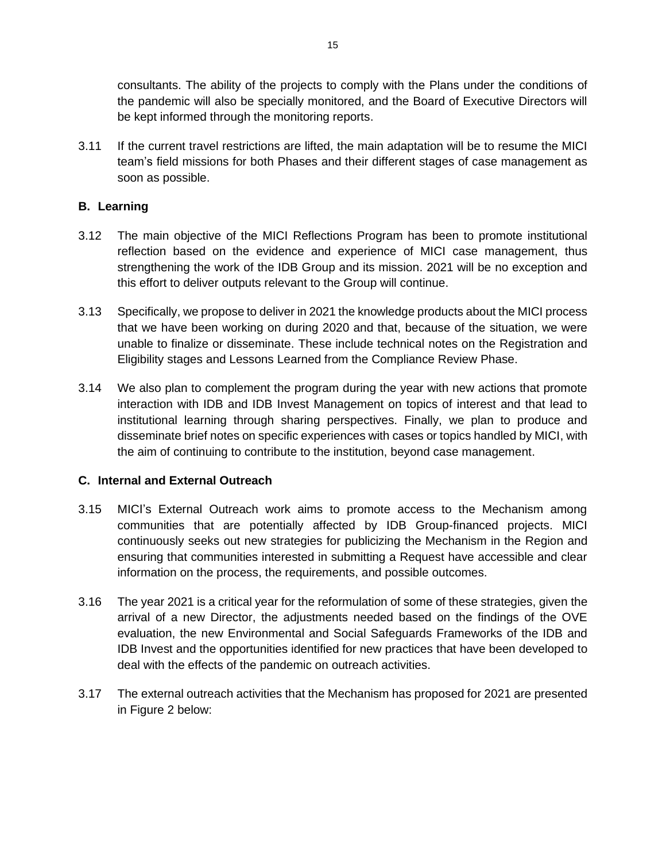consultants. The ability of the projects to comply with the Plans under the conditions of the pandemic will also be specially monitored, and the Board of Executive Directors will be kept informed through the monitoring reports.

3.11 If the current travel restrictions are lifted, the main adaptation will be to resume the MICI team's field missions for both Phases and their different stages of case management as soon as possible.

# <span id="page-15-0"></span>**B. Learning**

- 3.12 The main objective of the MICI Reflections Program has been to promote institutional reflection based on the evidence and experience of MICI case management, thus strengthening the work of the IDB Group and its mission. 2021 will be no exception and this effort to deliver outputs relevant to the Group will continue.
- 3.13 Specifically, we propose to deliver in 2021 the knowledge products about the MICI process that we have been working on during 2020 and that, because of the situation, we were unable to finalize or disseminate. These include technical notes on the Registration and Eligibility stages and Lessons Learned from the Compliance Review Phase.
- 3.14 We also plan to complement the program during the year with new actions that promote interaction with IDB and IDB Invest Management on topics of interest and that lead to institutional learning through sharing perspectives. Finally, we plan to produce and disseminate brief notes on specific experiences with cases or topics handled by MICI, with the aim of continuing to contribute to the institution, beyond case management.

### <span id="page-15-1"></span>**C. Internal and External Outreach**

- 3.15 MICI's External Outreach work aims to promote access to the Mechanism among communities that are potentially affected by IDB Group-financed projects. MICI continuously seeks out new strategies for publicizing the Mechanism in the Region and ensuring that communities interested in submitting a Request have accessible and clear information on the process, the requirements, and possible outcomes.
- 3.16 The year 2021 is a critical year for the reformulation of some of these strategies, given the arrival of a new Director, the adjustments needed based on the findings of the OVE evaluation, the new Environmental and Social Safeguards Frameworks of the IDB and IDB Invest and the opportunities identified for new practices that have been developed to deal with the effects of the pandemic on outreach activities.
- 3.17 The external outreach activities that the Mechanism has proposed for 2021 are presented in Figure 2 below: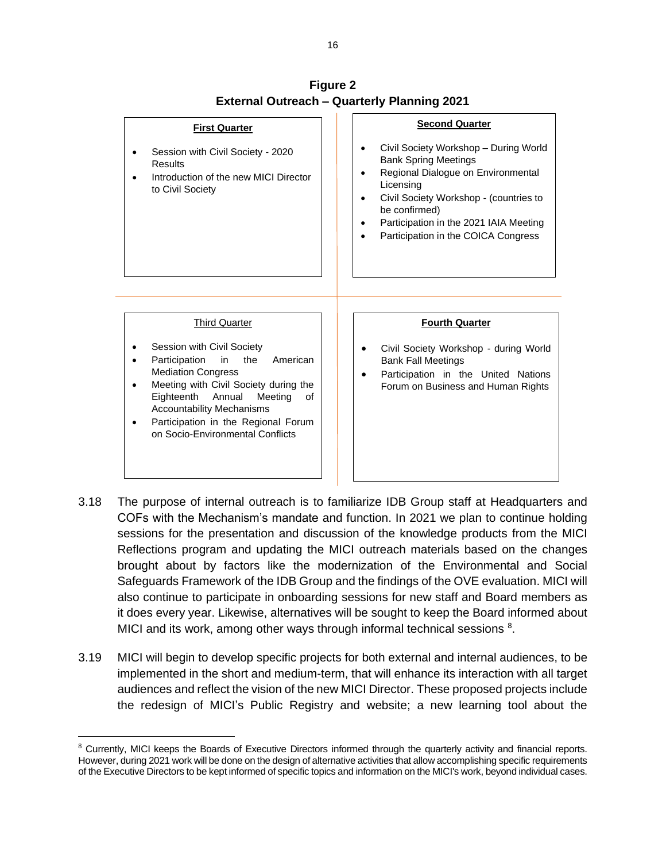

**Figure 2 External Outreach – Quarterly Planning 2021**

- 3.18 The purpose of internal outreach is to familiarize IDB Group staff at Headquarters and COFs with the Mechanism's mandate and function. In 2021 we plan to continue holding sessions for the presentation and discussion of the knowledge products from the MICI Reflections program and updating the MICI outreach materials based on the changes brought about by factors like the modernization of the Environmental and Social Safeguards Framework of the IDB Group and the findings of the OVE evaluation. MICI will also continue to participate in onboarding sessions for new staff and Board members as it does every year. Likewise, alternatives will be sought to keep the Board informed about MICI and its work, among other ways through informal technical sessions <sup>8</sup>.
- 3.19 MICI will begin to develop specific projects for both external and internal audiences, to be implemented in the short and medium-term, that will enhance its interaction with all target audiences and reflect the vision of the new MICI Director. These proposed projects include the redesign of MICI's Public Registry and website; a new learning tool about the

<sup>&</sup>lt;sup>8</sup> Currently, MICI keeps the Boards of Executive Directors informed through the quarterly activity and financial reports. However, during 2021 work will be done on the design of alternative activities that allow accomplishing specific requirements of the Executive Directors to be kept informed of specific topics and information on the MICI's work, beyond individual cases.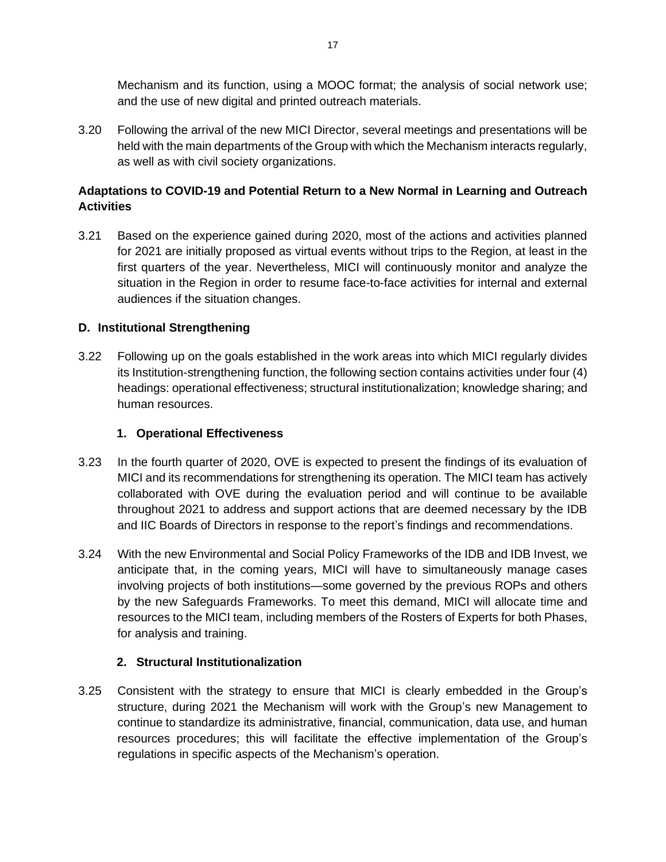Mechanism and its function, using a MOOC format; the analysis of social network use; and the use of new digital and printed outreach materials.

3.20 Following the arrival of the new MICI Director, several meetings and presentations will be held with the main departments of the Group with which the Mechanism interacts regularly, as well as with civil society organizations.

# **Adaptations to COVID-19 and Potential Return to a New Normal in Learning and Outreach Activities**

3.21 Based on the experience gained during 2020, most of the actions and activities planned for 2021 are initially proposed as virtual events without trips to the Region, at least in the first quarters of the year. Nevertheless, MICI will continuously monitor and analyze the situation in the Region in order to resume face-to-face activities for internal and external audiences if the situation changes.

### <span id="page-17-0"></span>**D. Institutional Strengthening**

3.22 Following up on the goals established in the work areas into which MICI regularly divides its Institution-strengthening function, the following section contains activities under four (4) headings: operational effectiveness; structural institutionalization; knowledge sharing; and human resources.

### **1. Operational Effectiveness**

- <span id="page-17-1"></span>3.23 In the fourth quarter of 2020, OVE is expected to present the findings of its evaluation of MICI and its recommendations for strengthening its operation. The MICI team has actively collaborated with OVE during the evaluation period and will continue to be available throughout 2021 to address and support actions that are deemed necessary by the IDB and IIC Boards of Directors in response to the report's findings and recommendations.
- 3.24 With the new Environmental and Social Policy Frameworks of the IDB and IDB Invest, we anticipate that, in the coming years, MICI will have to simultaneously manage cases involving projects of both institutions—some governed by the previous ROPs and others by the new Safeguards Frameworks. To meet this demand, MICI will allocate time and resources to the MICI team, including members of the Rosters of Experts for both Phases, for analysis and training.

# **2. Structural Institutionalization**

<span id="page-17-2"></span>3.25 Consistent with the strategy to ensure that MICI is clearly embedded in the Group's structure, during 2021 the Mechanism will work with the Group's new Management to continue to standardize its administrative, financial, communication, data use, and human resources procedures; this will facilitate the effective implementation of the Group's regulations in specific aspects of the Mechanism's operation.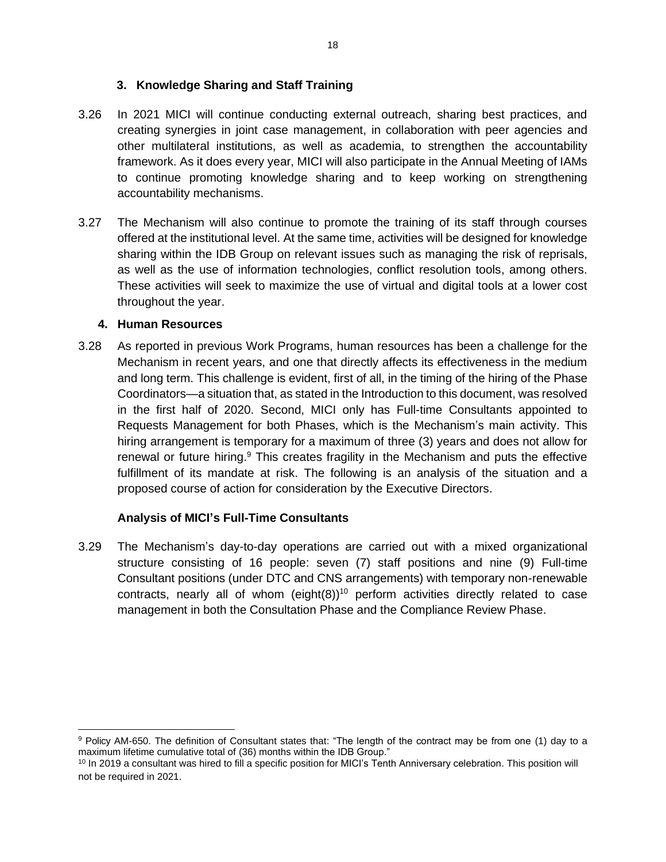### **3. Knowledge Sharing and Staff Training**

- <span id="page-18-0"></span>3.26 In 2021 MICI will continue conducting external outreach, sharing best practices, and creating synergies in joint case management, in collaboration with peer agencies and other multilateral institutions, as well as academia, to strengthen the accountability framework. As it does every year, MICI will also participate in the Annual Meeting of IAMs to continue promoting knowledge sharing and to keep working on strengthening accountability mechanisms.
- 3.27 The Mechanism will also continue to promote the training of its staff through courses offered at the institutional level. At the same time, activities will be designed for knowledge sharing within the IDB Group on relevant issues such as managing the risk of reprisals, as well as the use of information technologies, conflict resolution tools, among others. These activities will seek to maximize the use of virtual and digital tools at a lower cost throughout the year.

### <span id="page-18-1"></span>**4. Human Resources**

3.28 As reported in previous Work Programs, human resources has been a challenge for the Mechanism in recent years, and one that directly affects its effectiveness in the medium and long term. This challenge is evident, first of all, in the timing of the hiring of the Phase Coordinators—a situation that, as stated in the Introduction to this document, was resolved in the first half of 2020. Second, MICI only has Full-time Consultants appointed to Requests Management for both Phases, which is the Mechanism's main activity. This hiring arrangement is temporary for a maximum of three (3) years and does not allow for renewal or future hiring.<sup>9</sup> This creates fragility in the Mechanism and puts the effective fulfillment of its mandate at risk. The following is an analysis of the situation and a proposed course of action for consideration by the Executive Directors.

# **Analysis of MICI's Full-Time Consultants**

3.29 The Mechanism's day-to-day operations are carried out with a mixed organizational structure consisting of 16 people: seven (7) staff positions and nine (9) Full-time Consultant positions (under DTC and CNS arrangements) with temporary non-renewable contracts, nearly all of whom (eight $(8)$ )<sup>10</sup> perform activities directly related to case management in both the Consultation Phase and the Compliance Review Phase.

<sup>9</sup> Policy [AM-650.](https://idbg.sharepoint.com/sites/Regulations/es-es/Paginas/AM/Consultores/AM-650.aspx) The definition of Consultant states that: "The length of the contract may be from one (1) day to a maximum lifetime cumulative total of (36) months within the IDB Group."

<sup>&</sup>lt;sup>10</sup> In 2019 a consultant was hired to fill a specific position for MICI's Tenth Anniversary celebration. This position will not be required in 2021.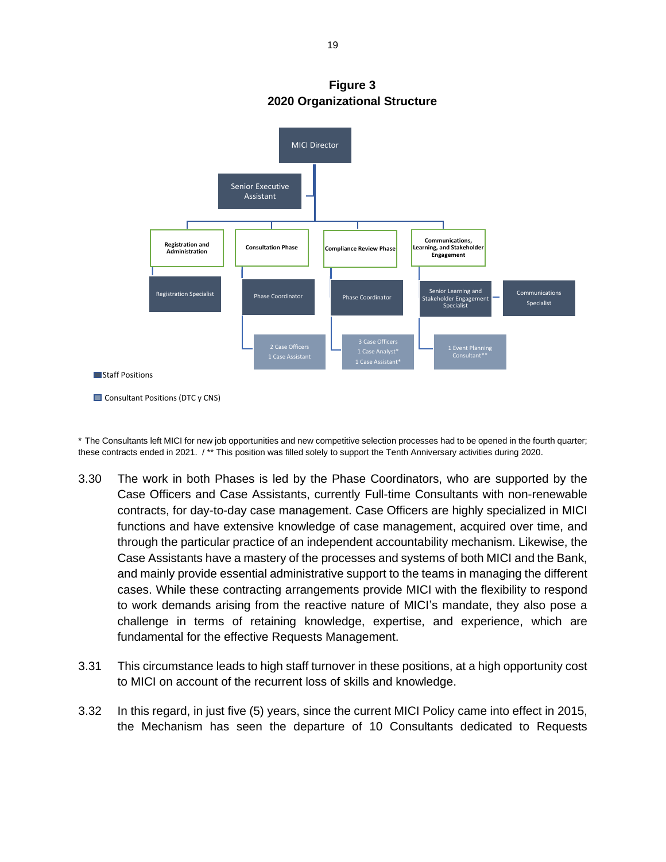

**Figure 3 2020 Organizational Structure**

\* The Consultants left MICI for new job opportunities and new competitive selection processes had to be opened in the fourth quarter; these contracts ended in 2021. / \*\* This position was filled solely to support the Tenth Anniversary activities during 2020.

- 3.30 The work in both Phases is led by the Phase Coordinators, who are supported by the Case Officers and Case Assistants, currently Full-time Consultants with non-renewable contracts, for day-to-day case management. Case Officers are highly specialized in MICI functions and have extensive knowledge of case management, acquired over time, and through the particular practice of an independent accountability mechanism. Likewise, the Case Assistants have a mastery of the processes and systems of both MICI and the Bank, and mainly provide essential administrative support to the teams in managing the different cases. While these contracting arrangements provide MICI with the flexibility to respond to work demands arising from the reactive nature of MICI's mandate, they also pose a challenge in terms of retaining knowledge, expertise, and experience, which are fundamental for the effective Requests Management.
- 3.31 This circumstance leads to high staff turnover in these positions, at a high opportunity cost to MICI on account of the recurrent loss of skills and knowledge.
- 3.32 In this regard, in just five (5) years, since the current MICI Policy came into effect in 2015, the Mechanism has seen the departure of 10 Consultants dedicated to Requests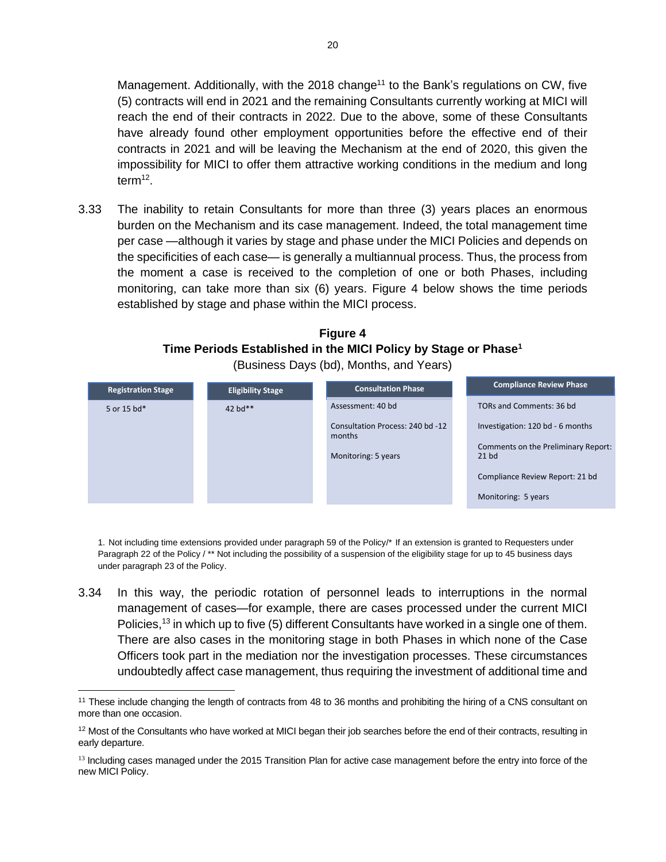Management. Additionally, with the 2018 change<sup>11</sup> to the Bank's regulations on CW, five (5) contracts will end in 2021 and the remaining Consultants currently working at MICI will reach the end of their contracts in 2022. Due to the above, some of these Consultants have already found other employment opportunities before the effective end of their contracts in 2021 and will be leaving the Mechanism at the end of 2020, this given the impossibility for MICI to offer them attractive working conditions in the medium and long term<sup>12</sup> .

3.33 The inability to retain Consultants for more than three (3) years places an enormous burden on the Mechanism and its case management. Indeed, the total management time per case —although it varies by stage and phase under the MICI Policies and depends on the specificities of each case— is generally a multiannual process. Thus, the process from the moment a case is received to the completion of one or both Phases, including monitoring, can take more than six (6) years. Figure 4 below shows the time periods established by stage and phase within the MICI process.

| <b>Figure 4</b>                                                          |  |  |  |  |  |  |  |
|--------------------------------------------------------------------------|--|--|--|--|--|--|--|
| Time Periods Established in the MICI Policy by Stage or Phase $^{\rm 1}$ |  |  |  |  |  |  |  |
| (Business Days (bd), Months, and Years)                                  |  |  |  |  |  |  |  |

| <b>Registration Stage</b> | <b>Eligibility Stage</b> | <b>Consultation Phase</b>                                         | <b>Compliance Review Phase</b>                                                                                                               |
|---------------------------|--------------------------|-------------------------------------------------------------------|----------------------------------------------------------------------------------------------------------------------------------------------|
| 5 or 15 bd*               | 42 $bd**$                | Assessment: 40 bd                                                 | TORs and Comments: 36 bd                                                                                                                     |
|                           |                          | Consultation Process: 240 bd -12<br>months<br>Monitoring: 5 years | Investigation: 120 bd - 6 months<br>Comments on the Preliminary Report:<br>$21$ bd<br>Compliance Review Report: 21 bd<br>Monitoring: 5 years |

1. Not including time extensions provided under paragraph 59 of the Policy/\* If an extension is granted to Requesters under Paragraph 22 of the Policy / \*\* Not including the possibility of a suspension of the eligibility stage for up to 45 business days under paragraph 23 of the Policy.

3.34 In this way, the periodic rotation of personnel leads to interruptions in the normal management of cases—for example, there are cases processed under the current MICI Policies,<sup>13</sup> in which up to five (5) different Consultants have worked in a single one of them. There are also cases in the monitoring stage in both Phases in which none of the Case Officers took part in the mediation nor the investigation processes. These circumstances undoubtedly affect case management, thus requiring the investment of additional time and

<sup>&</sup>lt;sup>11</sup> These include changing the length of contracts from 48 to 36 months and prohibiting the hiring of a CNS consultant on more than one occasion.

<sup>&</sup>lt;sup>12</sup> Most of the Consultants who have worked at MICI began their job searches before the end of their contracts, resulting in early departure.

<sup>&</sup>lt;sup>13</sup> Including cases managed under the 2015 Transition Plan for active case management before the entry into force of the new MICI Policy.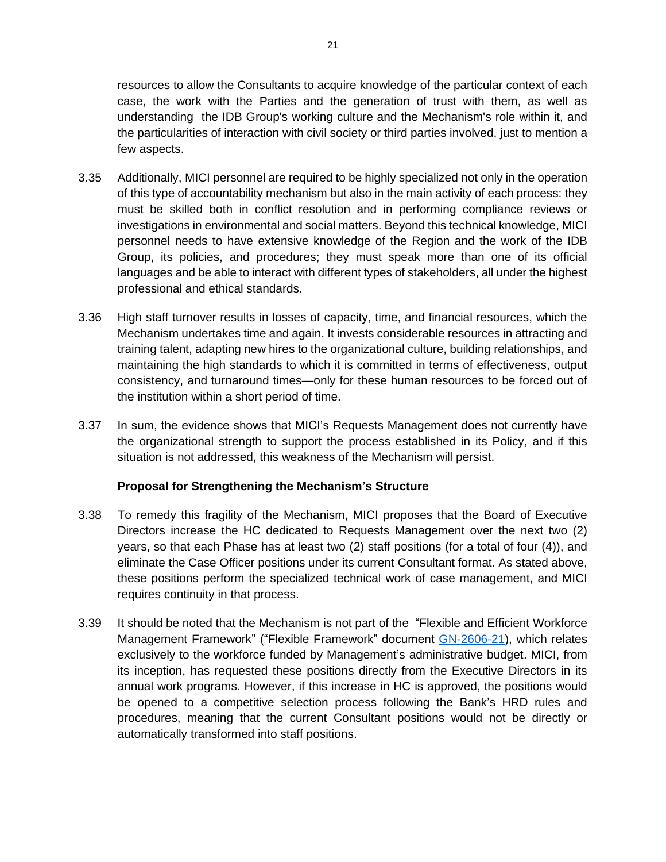resources to allow the Consultants to acquire knowledge of the particular context of each case, the work with the Parties and the generation of trust with them, as well as understanding the IDB Group's working culture and the Mechanism's role within it, and the particularities of interaction with civil society or third parties involved, just to mention a few aspects.

- 3.35 Additionally, MICI personnel are required to be highly specialized not only in the operation of this type of accountability mechanism but also in the main activity of each process: they must be skilled both in conflict resolution and in performing compliance reviews or investigations in environmental and social matters. Beyond this technical knowledge, MICI personnel needs to have extensive knowledge of the Region and the work of the IDB Group, its policies, and procedures; they must speak more than one of its official languages and be able to interact with different types of stakeholders, all under the highest professional and ethical standards.
- 3.36 High staff turnover results in losses of capacity, time, and financial resources, which the Mechanism undertakes time and again. It invests considerable resources in attracting and training talent, adapting new hires to the organizational culture, building relationships, and maintaining the high standards to which it is committed in terms of effectiveness, output consistency, and turnaround times—only for these human resources to be forced out of the institution within a short period of time.
- 3.37 In sum, the evidence shows that MICI's Requests Management does not currently have the organizational strength to support the process established in its Policy, and if this situation is not addressed, this weakness of the Mechanism will persist.

### **Proposal for Strengthening the Mechanism's Structure**

- 3.38 To remedy this fragility of the Mechanism, MICI proposes that the Board of Executive Directors increase the HC dedicated to Requests Management over the next two (2) years, so that each Phase has at least two (2) staff positions (for a total of four (4)), and eliminate the Case Officer positions under its current Consultant format. As stated above, these positions perform the specialized technical work of case management, and MICI requires continuity in that process.
- 3.39 It should be noted that the Mechanism is not part of the "Flexible and Efficient Workforce Management Framework" ("Flexible Framework" document [GN-2606-21\)](http://idbdocs.iadb.org/wsdocs/getdocument.aspx?docnum=EZSHARE-441247029-1017), which relates exclusively to the workforce funded by Management's administrative budget. MICI, from its inception, has requested these positions directly from the Executive Directors in its annual work programs. However, if this increase in HC is approved, the positions would be opened to a competitive selection process following the Bank's HRD rules and procedures, meaning that the current Consultant positions would not be directly or automatically transformed into staff positions.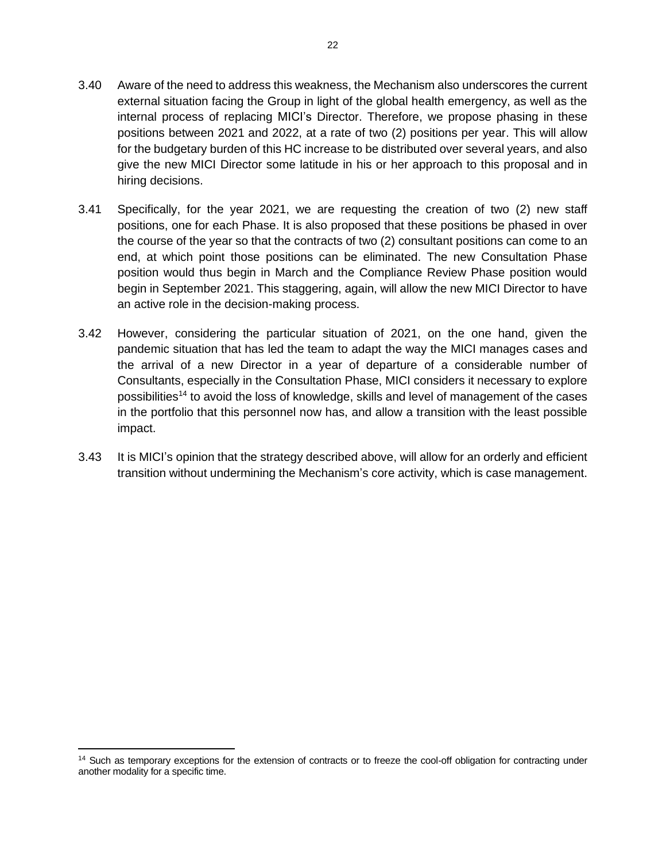- 3.40 Aware of the need to address this weakness, the Mechanism also underscores the current external situation facing the Group in light of the global health emergency, as well as the internal process of replacing MICI's Director. Therefore, we propose phasing in these positions between 2021 and 2022, at a rate of two (2) positions per year. This will allow for the budgetary burden of this HC increase to be distributed over several years, and also give the new MICI Director some latitude in his or her approach to this proposal and in hiring decisions.
- 3.41 Specifically, for the year 2021, we are requesting the creation of two (2) new staff positions, one for each Phase. It is also proposed that these positions be phased in over the course of the year so that the contracts of two (2) consultant positions can come to an end, at which point those positions can be eliminated. The new Consultation Phase position would thus begin in March and the Compliance Review Phase position would begin in September 2021. This staggering, again, will allow the new MICI Director to have an active role in the decision-making process.
- 3.42 However, considering the particular situation of 2021, on the one hand, given the pandemic situation that has led the team to adapt the way the MICI manages cases and the arrival of a new Director in a year of departure of a considerable number of Consultants, especially in the Consultation Phase, MICI considers it necessary to explore possibilities<sup>14</sup> to avoid the loss of knowledge, skills and level of management of the cases in the portfolio that this personnel now has, and allow a transition with the least possible impact.
- 3.43 It is MICI's opinion that the strategy described above, will allow for an orderly and efficient transition without undermining the Mechanism's core activity, which is case management.

<sup>&</sup>lt;sup>14</sup> Such as temporary exceptions for the extension of contracts or to freeze the cool-off obligation for contracting under another modality for a specific time.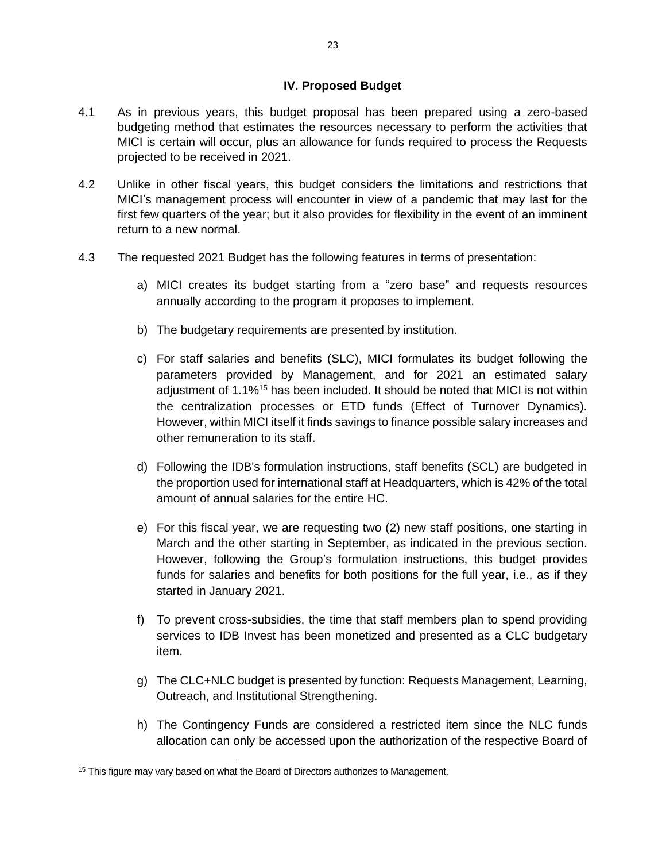#### **IV. Proposed Budget**

- <span id="page-23-0"></span>4.1 As in previous years, this budget proposal has been prepared using a zero-based budgeting method that estimates the resources necessary to perform the activities that MICI is certain will occur, plus an allowance for funds required to process the Requests projected to be received in 2021.
- 4.2 Unlike in other fiscal years, this budget considers the limitations and restrictions that MICI's management process will encounter in view of a pandemic that may last for the first few quarters of the year; but it also provides for flexibility in the event of an imminent return to a new normal.
- 4.3 The requested 2021 Budget has the following features in terms of presentation:
	- a) MICI creates its budget starting from a "zero base" and requests resources annually according to the program it proposes to implement.
	- b) The budgetary requirements are presented by institution.
	- c) For staff salaries and benefits (SLC), MICI formulates its budget following the parameters provided by Management, and for 2021 an estimated salary adjustment of 1.1%<sup>15</sup> has been included. It should be noted that MICI is not within the centralization processes or ETD funds (Effect of Turnover Dynamics). However, within MICI itself it finds savings to finance possible salary increases and other remuneration to its staff.
	- d) Following the IDB's formulation instructions, staff benefits (SCL) are budgeted in the proportion used for international staff at Headquarters, which is 42% of the total amount of annual salaries for the entire HC.
	- e) For this fiscal year, we are requesting two (2) new staff positions, one starting in March and the other starting in September, as indicated in the previous section. However, following the Group's formulation instructions, this budget provides funds for salaries and benefits for both positions for the full year, i.e., as if they started in January 2021.
	- f) To prevent cross-subsidies, the time that staff members plan to spend providing services to IDB Invest has been monetized and presented as a CLC budgetary item.
	- g) The CLC+NLC budget is presented by function: Requests Management, Learning, Outreach, and Institutional Strengthening.
	- h) The Contingency Funds are considered a restricted item since the NLC funds allocation can only be accessed upon the authorization of the respective Board of

<sup>&</sup>lt;sup>15</sup> This figure may vary based on what the Board of Directors authorizes to Management.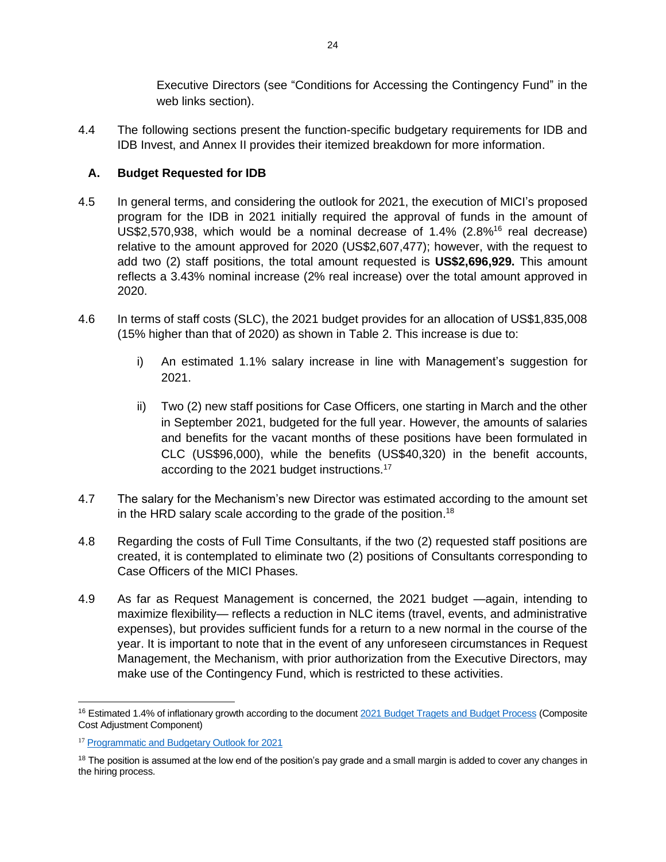Executive Directors (see "Conditions for Accessing the Contingency Fund" in the web links section).

4.4 The following sections present the function-specific budgetary requirements for IDB and IDB Invest, and Annex II provides their itemized breakdown for more information.

# <span id="page-24-0"></span>**A. Budget Requested for IDB**

- 4.5 In general terms, and considering the outlook for 2021, the execution of MICI's proposed program for the IDB in 2021 initially required the approval of funds in the amount of US\$2,570,938, which would be a nominal decrease of  $1.4\%$  (2.8%<sup>16</sup> real decrease) relative to the amount approved for 2020 (US\$2,607,477); however, with the request to add two (2) staff positions, the total amount requested is **US\$2,696,929.** This amount reflects a 3.43% nominal increase (2% real increase) over the total amount approved in 2020.
- 4.6 In terms of staff costs (SLC), the 2021 budget provides for an allocation of US\$1,835,008 (15% higher than that of 2020) as shown in Table 2. This increase is due to:
	- i) An estimated 1.1% salary increase in line with Management's suggestion for 2021.
	- ii) Two (2) new staff positions for Case Officers, one starting in March and the other in September 2021, budgeted for the full year. However, the amounts of salaries and benefits for the vacant months of these positions have been formulated in CLC (US\$96,000), while the benefits (US\$40,320) in the benefit accounts, according to the 2021 budget instructions.<sup>17</sup>
- 4.7 The salary for the Mechanism's new Director was estimated according to the amount set in the HRD salary scale according to the grade of the position.<sup>18</sup>
- 4.8 Regarding the costs of Full Time Consultants, if the two (2) requested staff positions are created, it is contemplated to eliminate two (2) positions of Consultants corresponding to Case Officers of the MICI Phases.
- 4.9 As far as Request Management is concerned, the 2021 budget —again, intending to maximize flexibility— reflects a reduction in NLC items (travel, events, and administrative expenses), but provides sufficient funds for a return to a new normal in the course of the year. It is important to note that in the event of any unforeseen circumstances in Request Management, the Mechanism, with prior authorization from the Executive Directors, may make use of the Contingency Fund, which is restricted to these activities.

<sup>&</sup>lt;sup>16</sup> Estimated 1.4% of inflationary growth according to the document [2021 Budget Tragets and Budget Process](https://idbg.sharepoint.com/teams/ez-BGT/BGT%20Internal%20Matters/Website%20Content/Admin%20Budget/2021%20Budget%20Targets%20and%20Bugdet%20Process%20-%20BCG%20presentation.pdf) (Composite Cost Adjustment Component)

<sup>17</sup> [Programmatic and Budgetary Outlook for 2021](https://idbg.sharepoint.com/teams/ez-BGT/Administrative/Preparation/Budget%20Instructions/2021.Instructions.Document.NEW%20FORMAT.FINAL.pdf)

<sup>&</sup>lt;sup>18</sup> The position is assumed at the low end of the position's pay grade and a small margin is added to cover any changes in the hiring process.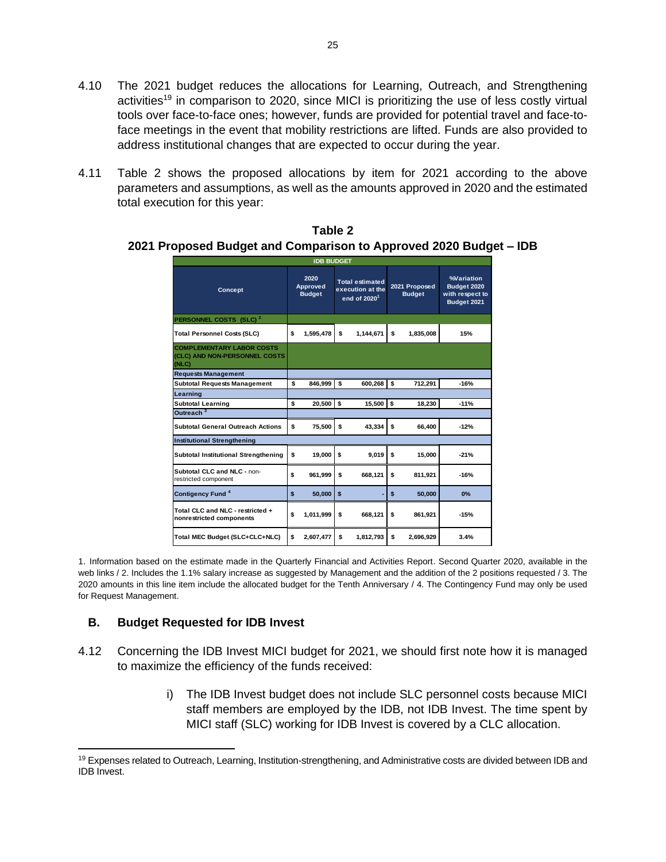- 4.10 The 2021 budget reduces the allocations for Learning, Outreach, and Strengthening activities<sup>19</sup> in comparison to 2020, since MICI is prioritizing the use of less costly virtual tools over face-to-face ones; however, funds are provided for potential travel and face-toface meetings in the event that mobility restrictions are lifted. Funds are also provided to address institutional changes that are expected to occur during the year.
- 4.11 Table 2 shows the proposed allocations by item for 2021 according to the above parameters and assumptions, as well as the amounts approved in 2020 and the estimated total execution for this year:

|                                                                            |    | <b>IDB BUDGET</b>                 |              |                                                                        |     |                                |                                                                    |
|----------------------------------------------------------------------------|----|-----------------------------------|--------------|------------------------------------------------------------------------|-----|--------------------------------|--------------------------------------------------------------------|
| Concept                                                                    |    | 2020<br>Approved<br><b>Budget</b> |              | <b>Total estimated</b><br>execution at the<br>end of 2020 <sup>1</sup> |     | 2021 Proposed<br><b>Budget</b> | <b>%Variation</b><br>Budget 2020<br>with respect to<br>Budget 2021 |
| PERSONNEL COSTS (SLC) <sup>2</sup>                                         |    |                                   |              |                                                                        |     |                                |                                                                    |
| <b>Total Personnel Costs (SLC)</b>                                         | \$ | 1,595,478                         | \$           | 1,144,671                                                              | \$  | 1,835,008                      | 15%                                                                |
| <b>COMPLEMENTARY LABOR COSTS</b><br>(CLC) AND NON-PERSONNEL COSTS<br>(NLC) |    |                                   |              |                                                                        |     |                                |                                                                    |
| <b>Requests Management</b>                                                 |    |                                   |              |                                                                        |     |                                |                                                                    |
| <b>Subtotal Requests Management</b>                                        | \$ | 846,999                           | <b>s</b>     | 600,268                                                                | l s | 712,291                        | $-16%$                                                             |
| Learning                                                                   |    |                                   |              |                                                                        |     |                                |                                                                    |
| <b>Subtotal Learning</b>                                                   | \$ | 20.500                            | l \$         | 15.500 \$                                                              |     | 18.230                         | $-11%$                                                             |
| Outreach <sup>3</sup>                                                      |    |                                   |              |                                                                        |     |                                |                                                                    |
| <b>Subtotal General Outreach Actions</b>                                   | \$ | 75.500                            | \$           | 43.334                                                                 | \$  | 66.400                         | $-12%$                                                             |
| <b>Institutional Strengthening</b>                                         |    |                                   |              |                                                                        |     |                                |                                                                    |
| Subtotal Institutional Strengthening                                       | \$ | 19,000                            | \$           | 9,019                                                                  | \$  | 15,000                         | $-21%$                                                             |
| Subtotal CLC and NLC - non-<br>restricted component                        | \$ | 961,999                           | \$           | 668,121                                                                | \$  | 811,921                        | $-16%$                                                             |
| Contigency Fund <sup>4</sup>                                               | \$ | 50,000                            | $\mathbf{s}$ |                                                                        | \$  | 50,000                         | 0%                                                                 |
| Total CLC and NLC - restricted +<br>nonrestricted components               | Ŝ  | 1,011,999                         | \$           | 668,121                                                                | \$  | 861,921                        | $-15%$                                                             |
| Total MEC Budget (SLC+CLC+NLC)                                             | \$ | 2,607,477                         | \$           | 1,812,793                                                              | \$  | 2,696,929                      | 3.4%                                                               |

**Table 2 2021 Proposed Budget and Comparison to Approved 2020 Budget – IDB**

1. Information based on the estimate made in the Quarterly Financial and Activities Report. Second Quarter 2020, available in the web links / 2. Includes the 1.1% salary increase as suggested by Management and the addition of the 2 positions requested / 3. The 2020 amounts in this line item include the allocated budget for the Tenth Anniversary / 4. The Contingency Fund may only be used for Request Management.

### <span id="page-25-0"></span>**B. Budget Requested for IDB Invest**

- 4.12 Concerning the IDB Invest MICI budget for 2021, we should first note how it is managed to maximize the efficiency of the funds received:
	- i) The IDB Invest budget does not include SLC personnel costs because MICI staff members are employed by the IDB, not IDB Invest. The time spent by MICI staff (SLC) working for IDB Invest is covered by a CLC allocation.

<sup>&</sup>lt;sup>19</sup> Expenses related to Outreach, Learning, Institution-strengthening, and Administrative costs are divided between IDB and IDB Invest.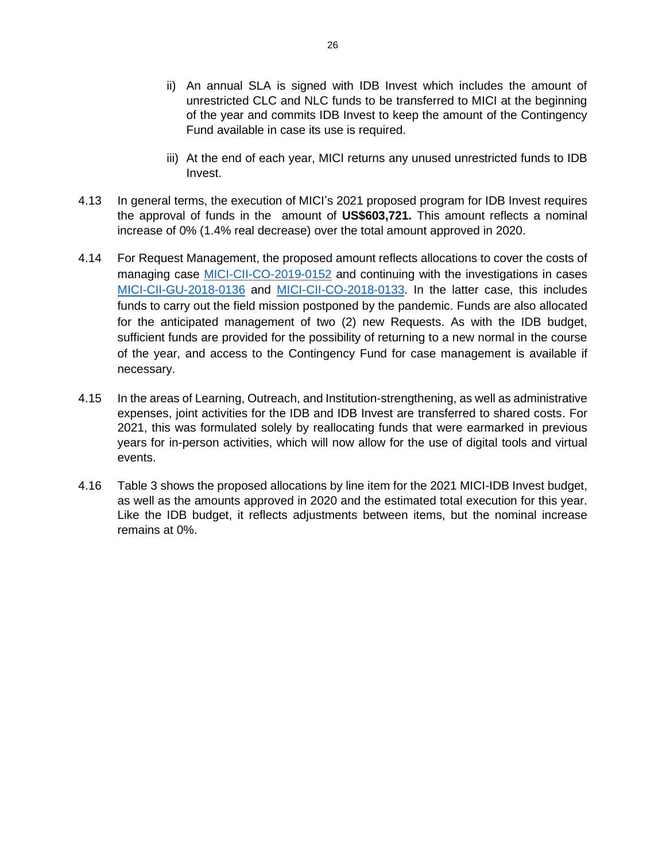- ii) An annual SLA is signed with IDB Invest which includes the amount of unrestricted CLC and NLC funds to be transferred to MICI at the beginning of the year and commits IDB Invest to keep the amount of the Contingency Fund available in case its use is required.
- iii) At the end of each year, MICI returns any unused unrestricted funds to IDB Invest.
- 4.13 In general terms, the execution of MICI's 2021 proposed program for IDB Invest requires the approval of funds in the amount of **US\$603,721.** This amount reflects a nominal increase of 0% (1.4% real decrease) over the total amount approved in 2020.
- 4.14 For Request Management, the proposed amount reflects allocations to cover the costs of managing case [MICI-CII-CO-2019-0152](https://www.iadb.org/en/mici/request-detail-iic?ID=MICI-CII-CO-2019-0152&nid=27243) and continuing with the investigations in cases [MICI-CII-GU-2018-0136](https://www.iadb.org/en/mici/request-detail-iic?ID=MICI-CII-GU-2018-0136&nid=23508) and [MICI-CII-CO-2018-0133.](https://www.iadb.org/en/mici/request-detail-iic?ID=MICI-CII-CO-2018-0133&nid=23506) In the latter case, this includes funds to carry out the field mission postponed by the pandemic. Funds are also allocated for the anticipated management of two (2) new Requests. As with the IDB budget, sufficient funds are provided for the possibility of returning to a new normal in the course of the year, and access to the Contingency Fund for case management is available if necessary.
- 4.15 In the areas of Learning, Outreach, and Institution-strengthening, as well as administrative expenses, joint activities for the IDB and IDB Invest are transferred to shared costs. For 2021, this was formulated solely by reallocating funds that were earmarked in previous years for in-person activities, which will now allow for the use of digital tools and virtual events.
- 4.16 Table 3 shows the proposed allocations by line item for the 2021 MICI-IDB Invest budget, as well as the amounts approved in 2020 and the estimated total execution for this year. Like the IDB budget, it reflects adjustments between items, but the nominal increase remains at 0%.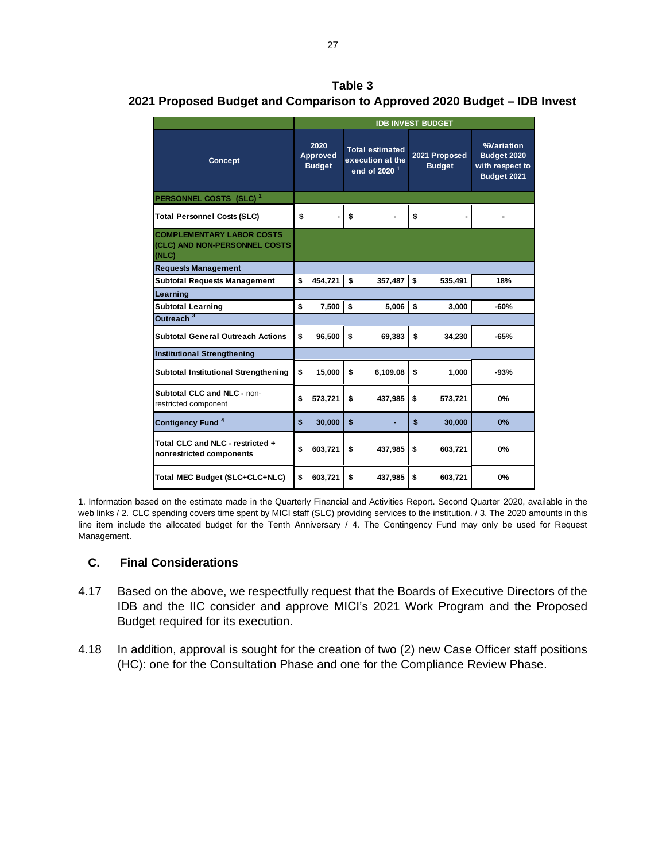**Table 3 2021 Proposed Budget and Comparison to Approved 2020 Budget – IDB Invest**

|                                                                            | <b>IDB INVEST BUDGET</b> |                                          |    |                                                                        |    |                                |                                                                    |
|----------------------------------------------------------------------------|--------------------------|------------------------------------------|----|------------------------------------------------------------------------|----|--------------------------------|--------------------------------------------------------------------|
| <b>Concept</b>                                                             |                          | 2020<br><b>Approved</b><br><b>Budget</b> |    | <b>Total estimated</b><br>execution at the<br>end of 2020 <sup>1</sup> |    | 2021 Proposed<br><b>Budget</b> | <b>%Variation</b><br>Budget 2020<br>with respect to<br>Budget 2021 |
| PERSONNEL COSTS (SLC) <sup>2</sup>                                         |                          |                                          |    |                                                                        |    |                                |                                                                    |
| <b>Total Personnel Costs (SLC)</b>                                         | \$                       |                                          | \$ |                                                                        | \$ | ٠                              |                                                                    |
| <b>COMPLEMENTARY LABOR COSTS</b><br>(CLC) AND NON-PERSONNEL COSTS<br>(NLC) |                          |                                          |    |                                                                        |    |                                |                                                                    |
| <b>Requests Management</b>                                                 |                          |                                          |    |                                                                        |    |                                |                                                                    |
| <b>Subtotal Requests Management</b>                                        | \$                       | 454,721                                  | \$ | 357,487                                                                | \$ | 535,491                        | 18%                                                                |
| Learning                                                                   |                          |                                          |    |                                                                        |    |                                |                                                                    |
| <b>Subtotal Learning</b>                                                   | \$                       | 7,500                                    | \$ | 5,006                                                                  | \$ | 3,000                          | $-60%$                                                             |
| Outreach <sup>3</sup>                                                      |                          |                                          |    |                                                                        |    |                                |                                                                    |
| <b>Subtotal General Outreach Actions</b>                                   | \$                       | 96,500                                   | \$ | 69,383                                                                 | \$ | 34.230                         | $-65%$                                                             |
| <b>Institutional Strengthening</b>                                         |                          |                                          |    |                                                                        |    |                                |                                                                    |
| <b>Subtotal Institutional Strengthening</b>                                | \$                       | 15,000                                   | \$ | 6.109.08                                                               | \$ | 1,000                          | $-93%$                                                             |
| Subtotal CLC and NLC - non-<br>restricted component                        | \$                       | 573,721                                  | \$ | 437,985                                                                | \$ | 573,721                        | 0%                                                                 |
| Contigency Fund <sup>4</sup>                                               | \$                       | 30,000                                   | \$ |                                                                        | \$ | 30,000                         | 0%                                                                 |
| Total CLC and NLC - restricted +<br>nonrestricted components               | \$                       | 603,721                                  | \$ | 437,985                                                                | \$ | 603,721                        | 0%                                                                 |
| Total MEC Budget (SLC+CLC+NLC)                                             | \$                       | 603,721                                  | \$ | 437,985                                                                | \$ | 603,721                        | 0%                                                                 |

1. Information based on the estimate made in the Quarterly Financial and Activities Report. Second Quarter 2020, available in the web links / 2. CLC spending covers time spent by MICI staff (SLC) providing services to the institution. / 3. The 2020 amounts in this line item include the allocated budget for the Tenth Anniversary / 4. The Contingency Fund may only be used for Request Management.

### <span id="page-27-0"></span>**C. Final Considerations**

- 4.17 Based on the above, we respectfully request that the Boards of Executive Directors of the IDB and the IIC consider and approve MICI's 2021 Work Program and the Proposed Budget required for its execution.
- 4.18 In addition, approval is sought for the creation of two (2) new Case Officer staff positions (HC): one for the Consultation Phase and one for the Compliance Review Phase.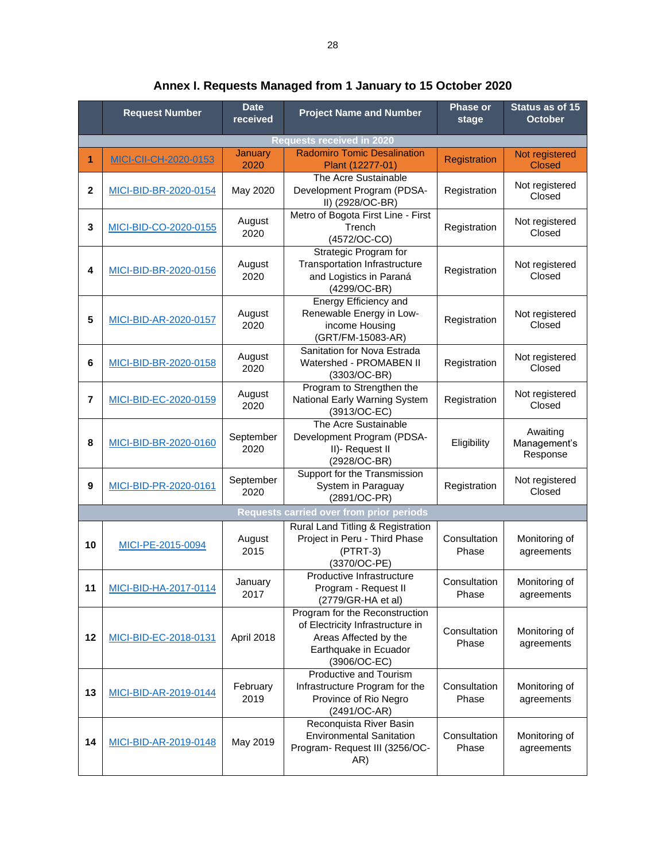|                  | <b>Request Number</b>        | <b>Date</b><br>received | <b>Project Name and Number</b>                                                                                                       | <b>Phase or</b><br>stage | Status as of 15<br><b>October</b>    |
|------------------|------------------------------|-------------------------|--------------------------------------------------------------------------------------------------------------------------------------|--------------------------|--------------------------------------|
|                  |                              |                         | <b>Requests received in 2020</b>                                                                                                     |                          |                                      |
| 1                | <b>MICI-CII-CH-2020-0153</b> | <b>January</b><br>2020  | <b>Radomiro Tomic Desalination</b><br>Plant (12277-01)                                                                               | Registration             | Not registered<br><b>Closed</b>      |
| $\mathbf{2}$     | MICI-BID-BR-2020-0154        | May 2020                | The Acre Sustainable<br>Development Program (PDSA-<br>II) (2928/OC-BR)                                                               | Registration             | Not registered<br>Closed             |
| 3                | MICI-BID-CO-2020-0155        | August<br>2020          | Metro of Bogota First Line - First<br>Trench<br>(4572/OC-CO)                                                                         | Registration             | Not registered<br>Closed             |
| 4                | MICI-BID-BR-2020-0156        | August<br>2020          | Strategic Program for<br><b>Transportation Infrastructure</b><br>and Logistics in Paraná<br>(4299/OC-BR)                             | Registration             | Not registered<br>Closed             |
| 5                | MICI-BID-AR-2020-0157        | August<br>2020          | Energy Efficiency and<br>Renewable Energy in Low-<br>income Housing<br>(GRT/FM-15083-AR)                                             | Registration             | Not registered<br>Closed             |
| 6                | MICI-BID-BR-2020-0158        | August<br>2020          | Sanitation for Nova Estrada<br>Watershed - PROMABEN II<br>(3303/OC-BR)                                                               | Registration             | Not registered<br>Closed             |
| $\overline{7}$   | MICI-BID-EC-2020-0159        | August<br>2020          | Program to Strengthen the<br>National Early Warning System<br>(3913/OC-EC)                                                           | Registration             | Not registered<br>Closed             |
| 8                | MICI-BID-BR-2020-0160        | September<br>2020       | The Acre Sustainable<br>Development Program (PDSA-<br>II)- Request II<br>(2928/OC-BR)                                                | Eligibility              | Awaiting<br>Management's<br>Response |
| $\boldsymbol{9}$ | MICI-BID-PR-2020-0161        | September<br>2020       | Support for the Transmission<br>System in Paraguay<br>(2891/OC-PR)                                                                   | Registration             | Not registered<br>Closed             |
|                  |                              |                         | <b>Requests carried over from prior periods</b>                                                                                      |                          |                                      |
| 10               | MICI-PE-2015-0094            | August<br>2015          | Rural Land Titling & Registration<br>Project in Peru - Third Phase<br>$(PTRT-3)$<br>(3370/OC-PE)                                     | Consultation<br>Phase    | Monitoring of<br>agreements          |
| 11               | MICI-BID-HA-2017-0114        | January<br>2017         | Productive Infrastructure<br>Program - Request II<br>(2779/GR-HA et al)                                                              | Consultation<br>Phase    | Monitoring of<br>agreements          |
| 12               | MICI-BID-EC-2018-0131        | April 2018              | Program for the Reconstruction<br>of Electricity Infrastructure in<br>Areas Affected by the<br>Earthquake in Ecuador<br>(3906/OC-EC) | Consultation<br>Phase    | Monitoring of<br>agreements          |
| 13               | MICI-BID-AR-2019-0144        | February<br>2019        | Productive and Tourism<br>Infrastructure Program for the<br>Province of Rio Negro<br>(2491/OC-AR)                                    | Consultation<br>Phase    | Monitoring of<br>agreements          |
| 14               | MICI-BID-AR-2019-0148        | May 2019                | Reconquista River Basin<br><b>Environmental Sanitation</b><br>Program- Request III (3256/OC-<br>AR)                                  | Consultation<br>Phase    | Monitoring of<br>agreements          |

**Annex I. Requests Managed from 1 January to 15 October 2020**